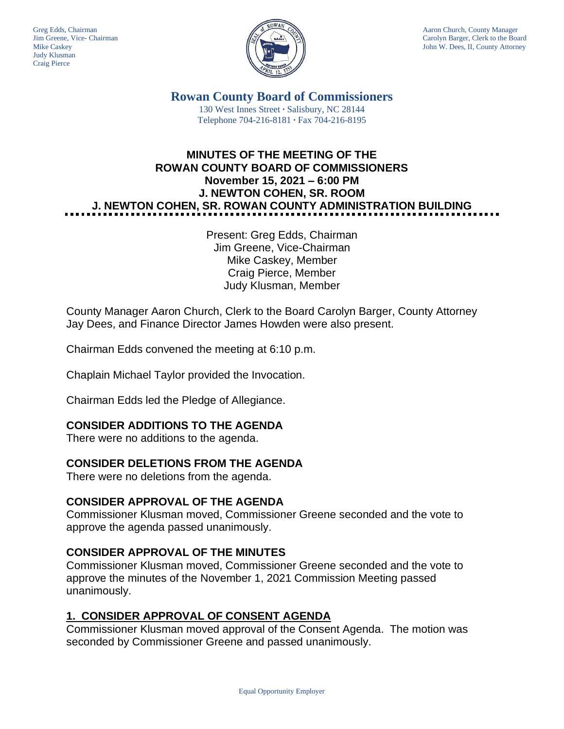Judy Klusman Craig Pierce



Greg Edds, Chairman Aaron Church, County Manager Jim Greene, Vice- Chairman Carolyn Barger, Clerk to the Board Carolyn Barger, Clerk to the Board Carolyn Barger, Clerk to the Board Iohn W. Dees, II, County Attorney John W. Dees, II, County Attorney

> **Rowan County Board of Commissioners** 130 West Innes Street **∙** Salisbury, NC 28144 Telephone 704-216-8181 **∙** Fax 704-216-8195

# **MINUTES OF THE MEETING OF THE ROWAN COUNTY BOARD OF COMMISSIONERS November 15, 2021 – 6:00 PM J. NEWTON COHEN, SR. ROOM J. NEWTON COHEN, SR. ROWAN COUNTY ADMINISTRATION BUILDING**

Present: Greg Edds, Chairman Jim Greene, Vice-Chairman Mike Caskey, Member Craig Pierce, Member Judy Klusman, Member

County Manager Aaron Church, Clerk to the Board Carolyn Barger, County Attorney Jay Dees, and Finance Director James Howden were also present.

Chairman Edds convened the meeting at 6:10 p.m.

Chaplain Michael Taylor provided the Invocation.

Chairman Edds led the Pledge of Allegiance.

## **CONSIDER ADDITIONS TO THE AGENDA**

There were no additions to the agenda.

## **CONSIDER DELETIONS FROM THE AGENDA**

There were no deletions from the agenda.

### **CONSIDER APPROVAL OF THE AGENDA**

Commissioner Klusman moved, Commissioner Greene seconded and the vote to approve the agenda passed unanimously.

## **CONSIDER APPROVAL OF THE MINUTES**

Commissioner Klusman moved, Commissioner Greene seconded and the vote to approve the minutes of the November 1, 2021 Commission Meeting passed unanimously.

### **1. CONSIDER APPROVAL OF CONSENT AGENDA**

Commissioner Klusman moved approval of the Consent Agenda. The motion was seconded by Commissioner Greene and passed unanimously.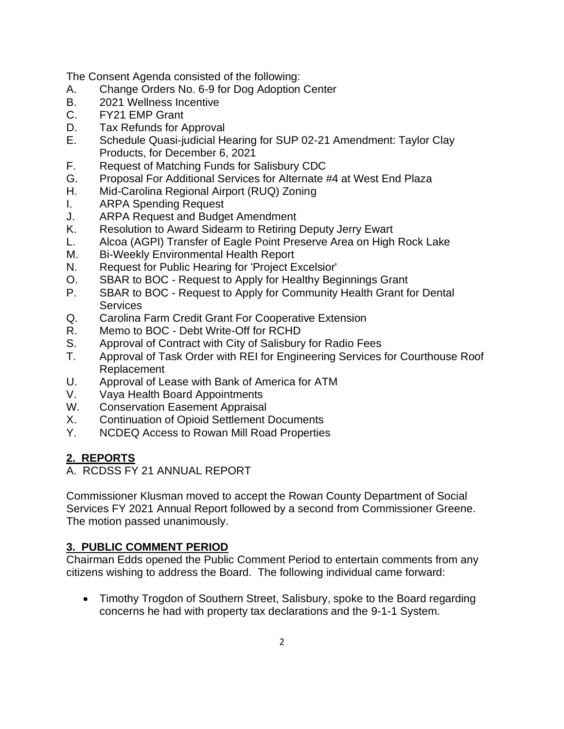The Consent Agenda consisted of the following:

- A. Change Orders No. 6-9 for Dog Adoption Center
- B. 2021 Wellness Incentive
- C. FY21 EMP Grant
- D. Tax Refunds for Approval
- E. Schedule Quasi-judicial Hearing for SUP 02-21 Amendment: Taylor Clay Products, for December 6, 2021
- F. Request of Matching Funds for Salisbury CDC
- G. Proposal For Additional Services for Alternate #4 at West End Plaza
- H. Mid-Carolina Regional Airport (RUQ) Zoning
- I. ARPA Spending Request
- J. ARPA Request and Budget Amendment
- K. Resolution to Award Sidearm to Retiring Deputy Jerry Ewart
- L. Alcoa (AGPI) Transfer of Eagle Point Preserve Area on High Rock Lake
- M. Bi-Weekly Environmental Health Report
- N. Request for Public Hearing for 'Project Excelsior'
- O. SBAR to BOC Request to Apply for Healthy Beginnings Grant
- P. SBAR to BOC Request to Apply for Community Health Grant for Dental **Services**
- Q. Carolina Farm Credit Grant For Cooperative Extension
- R. Memo to BOC Debt Write-Off for RCHD
- S. Approval of Contract with City of Salisbury for Radio Fees
- T. Approval of Task Order with REI for Engineering Services for Courthouse Roof Replacement
- U. Approval of Lease with Bank of America for ATM
- V. Vaya Health Board Appointments
- W. Conservation Easement Appraisal
- X. Continuation of Opioid Settlement Documents
- Y. NCDEQ Access to Rowan Mill Road Properties

# **2. REPORTS**

A. RCDSS FY 21 ANNUAL REPORT

Commissioner Klusman moved to accept the Rowan County Department of Social Services FY 2021 Annual Report followed by a second from Commissioner Greene. The motion passed unanimously.

## **3. PUBLIC COMMENT PERIOD**

Chairman Edds opened the Public Comment Period to entertain comments from any citizens wishing to address the Board. The following individual came forward:

• Timothy Trogdon of Southern Street, Salisbury, spoke to the Board regarding concerns he had with property tax declarations and the 9-1-1 System.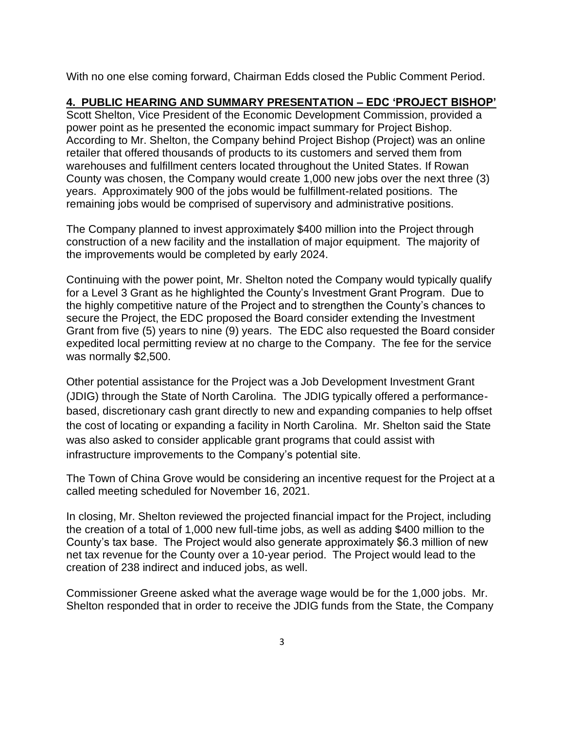With no one else coming forward, Chairman Edds closed the Public Comment Period.

## **4. PUBLIC HEARING AND SUMMARY PRESENTATION – EDC 'PROJECT BISHOP'**

Scott Shelton, Vice President of the Economic Development Commission, provided a power point as he presented the economic impact summary for Project Bishop. According to Mr. Shelton, the Company behind Project Bishop (Project) was an online retailer that offered thousands of products to its customers and served them from warehouses and fulfillment centers located throughout the United States. If Rowan County was chosen, the Company would create 1,000 new jobs over the next three (3) years. Approximately 900 of the jobs would be fulfillment-related positions. The remaining jobs would be comprised of supervisory and administrative positions.

The Company planned to invest approximately \$400 million into the Project through construction of a new facility and the installation of major equipment. The majority of the improvements would be completed by early 2024.

Continuing with the power point, Mr. Shelton noted the Company would typically qualify for a Level 3 Grant as he highlighted the County's Investment Grant Program. Due to the highly competitive nature of the Project and to strengthen the County's chances to secure the Project, the EDC proposed the Board consider extending the Investment Grant from five (5) years to nine (9) years. The EDC also requested the Board consider expedited local permitting review at no charge to the Company. The fee for the service was normally \$2,500.

Other potential assistance for the Project was a Job Development Investment Grant (JDIG) through the State of North Carolina. The JDIG typically offered a performancebased, discretionary cash grant directly to new and expanding companies to help offset the cost of locating or expanding a facility in North Carolina. Mr. Shelton said the State was also asked to consider applicable grant programs that could assist with infrastructure improvements to the Company's potential site.

The Town of China Grove would be considering an incentive request for the Project at a called meeting scheduled for November 16, 2021.

In closing, Mr. Shelton reviewed the projected financial impact for the Project, including the creation of a total of 1,000 new full-time jobs, as well as adding \$400 million to the County's tax base. The Project would also generate approximately \$6.3 million of new net tax revenue for the County over a 10-year period. The Project would lead to the creation of 238 indirect and induced jobs, as well.

Commissioner Greene asked what the average wage would be for the 1,000 jobs. Mr. Shelton responded that in order to receive the JDIG funds from the State, the Company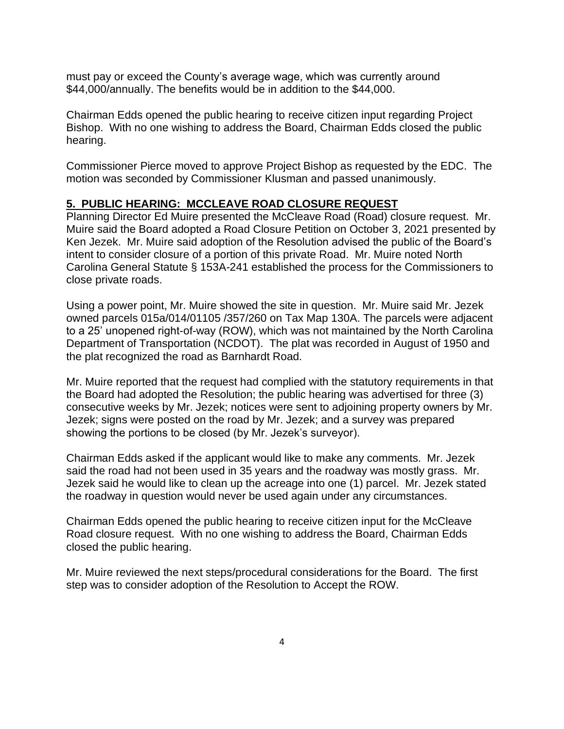must pay or exceed the County's average wage, which was currently around \$44,000/annually. The benefits would be in addition to the \$44,000.

Chairman Edds opened the public hearing to receive citizen input regarding Project Bishop. With no one wishing to address the Board, Chairman Edds closed the public hearing.

Commissioner Pierce moved to approve Project Bishop as requested by the EDC. The motion was seconded by Commissioner Klusman and passed unanimously.

## **5. PUBLIC HEARING: MCCLEAVE ROAD CLOSURE REQUEST**

Planning Director Ed Muire presented the McCleave Road (Road) closure request. Mr. Muire said the Board adopted a Road Closure Petition on October 3, 2021 presented by Ken Jezek. Mr. Muire said adoption of the Resolution advised the public of the Board's intent to consider closure of a portion of this private Road. Mr. Muire noted North Carolina General Statute § 153A-241 established the process for the Commissioners to close private roads.

Using a power point, Mr. Muire showed the site in question. Mr. Muire said Mr. Jezek owned parcels 015a/014/01105 /357/260 on Tax Map 130A. The parcels were adjacent to a 25' unopened right-of-way (ROW), which was not maintained by the North Carolina Department of Transportation (NCDOT). The plat was recorded in August of 1950 and the plat recognized the road as Barnhardt Road.

Mr. Muire reported that the request had complied with the statutory requirements in that the Board had adopted the Resolution; the public hearing was advertised for three (3) consecutive weeks by Mr. Jezek; notices were sent to adjoining property owners by Mr. Jezek; signs were posted on the road by Mr. Jezek; and a survey was prepared showing the portions to be closed (by Mr. Jezek's surveyor).

Chairman Edds asked if the applicant would like to make any comments. Mr. Jezek said the road had not been used in 35 years and the roadway was mostly grass. Mr. Jezek said he would like to clean up the acreage into one (1) parcel. Mr. Jezek stated the roadway in question would never be used again under any circumstances.

Chairman Edds opened the public hearing to receive citizen input for the McCleave Road closure request. With no one wishing to address the Board, Chairman Edds closed the public hearing.

Mr. Muire reviewed the next steps/procedural considerations for the Board. The first step was to consider adoption of the Resolution to Accept the ROW.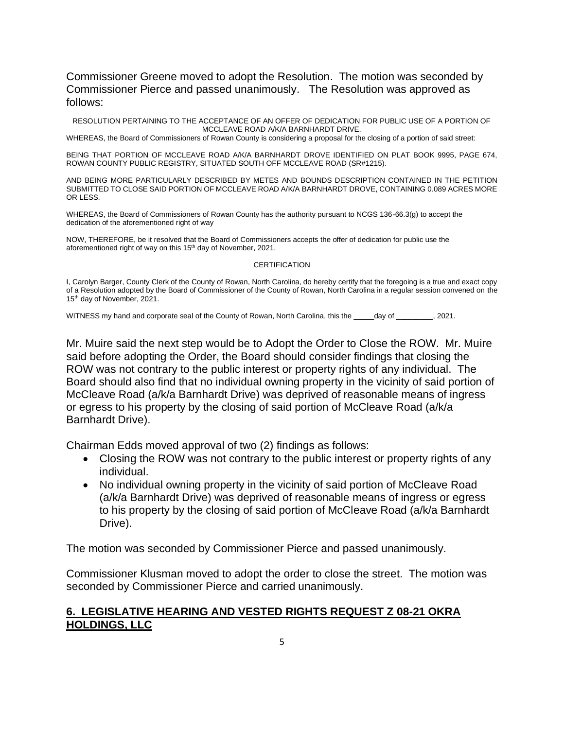Commissioner Greene moved to adopt the Resolution. The motion was seconded by Commissioner Pierce and passed unanimously. The Resolution was approved as follows:

RESOLUTION PERTAINING TO THE ACCEPTANCE OF AN OFFER OF DEDICATION FOR PUBLIC USE OF A PORTION OF MCCLEAVE ROAD A/K/A BARNHARDT DRIVE.

WHEREAS, the Board of Commissioners of Rowan County is considering a proposal for the closing of a portion of said street:

BEING THAT PORTION OF MCCLEAVE ROAD A/K/A BARNHARDT DROVE IDENTIFIED ON PLAT BOOK 9995, PAGE 674, ROWAN COUNTY PUBLIC REGISTRY, SITUATED SOUTH OFF MCCLEAVE ROAD (SR#1215).

AND BEING MORE PARTICULARLY DESCRIBED BY METES AND BOUNDS DESCRIPTION CONTAINED IN THE PETITION SUBMITTED TO CLOSE SAID PORTION OF MCCLEAVE ROAD A/K/A BARNHARDT DROVE, CONTAINING 0.089 ACRES MORE OR LESS.

WHEREAS, the Board of Commissioners of Rowan County has the authority pursuant to NCGS 136-66.3(g) to accept the dedication of the aforementioned right of way

NOW, THEREFORE, be it resolved that the Board of Commissioners accepts the offer of dedication for public use the aforementioned right of way on this 15<sup>th</sup> day of November, 2021.

### CERTIFICATION

I, Carolyn Barger, County Clerk of the County of Rowan, North Carolina, do hereby certify that the foregoing is a true and exact copy of a Resolution adopted by the Board of Commissioner of the County of Rowan, North Carolina in a regular session convened on the 15<sup>th</sup> day of November, 2021.

WITNESS my hand and corporate seal of the County of Rowan, North Carolina, this the day of  $\qquad \qquad$ . 2021.

Mr. Muire said the next step would be to Adopt the Order to Close the ROW. Mr. Muire said before adopting the Order, the Board should consider findings that closing the ROW was not contrary to the public interest or property rights of any individual. The Board should also find that no individual owning property in the vicinity of said portion of McCleave Road (a/k/a Barnhardt Drive) was deprived of reasonable means of ingress or egress to his property by the closing of said portion of McCleave Road (a/k/a Barnhardt Drive).

Chairman Edds moved approval of two (2) findings as follows:

- Closing the ROW was not contrary to the public interest or property rights of any individual.
- No individual owning property in the vicinity of said portion of McCleave Road (a/k/a Barnhardt Drive) was deprived of reasonable means of ingress or egress to his property by the closing of said portion of McCleave Road (a/k/a Barnhardt Drive).

The motion was seconded by Commissioner Pierce and passed unanimously.

Commissioner Klusman moved to adopt the order to close the street. The motion was seconded by Commissioner Pierce and carried unanimously.

### **6. LEGISLATIVE HEARING AND VESTED RIGHTS REQUEST Z 08-21 OKRA HOLDINGS, LLC**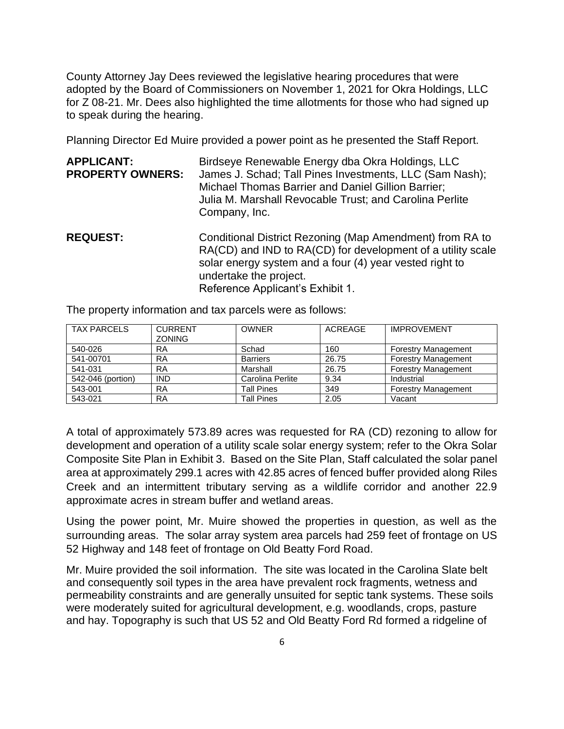County Attorney Jay Dees reviewed the legislative hearing procedures that were adopted by the Board of Commissioners on November 1, 2021 for Okra Holdings, LLC for Z 08-21. Mr. Dees also highlighted the time allotments for those who had signed up to speak during the hearing.

Planning Director Ed Muire provided a power point as he presented the Staff Report.

| <b>APPLICANT:</b>       | Birdseye Renewable Energy dba Okra Holdings, LLC        |  |  |
|-------------------------|---------------------------------------------------------|--|--|
| <b>PROPERTY OWNERS:</b> | James J. Schad; Tall Pines Investments, LLC (Sam Nash); |  |  |
|                         | Michael Thomas Barrier and Daniel Gillion Barrier;      |  |  |
|                         | Julia M. Marshall Revocable Trust; and Carolina Perlite |  |  |
|                         | Company, Inc.                                           |  |  |

**REQUEST:** Conditional District Rezoning (Map Amendment) from RA to RA(CD) and IND to RA(CD) for development of a utility scale solar energy system and a four (4) year vested right to undertake the project. Reference Applicant's Exhibit 1.

| <b>TAX PARCELS</b> | <b>CURRENT</b><br><b>ZONING</b> | <b>OWNER</b>      | ACREAGE | <b>IMPROVEMENT</b>         |
|--------------------|---------------------------------|-------------------|---------|----------------------------|
| 540-026            | RA                              | Schad             | 160     | <b>Forestry Management</b> |
| 541-00701          | <b>RA</b>                       | <b>Barriers</b>   | 26.75   | <b>Forestry Management</b> |
| 541-031            | <b>RA</b>                       | Marshall          | 26.75   | <b>Forestry Management</b> |
| 542-046 (portion)  | <b>IND</b>                      | Carolina Perlite  | 9.34    | Industrial                 |
| 543-001            | RA                              | Tall Pines        | 349     | <b>Forestry Management</b> |
| 543-021            | <b>RA</b>                       | <b>Tall Pines</b> | 2.05    | Vacant                     |

The property information and tax parcels were as follows:

A total of approximately 573.89 acres was requested for RA (CD) rezoning to allow for development and operation of a utility scale solar energy system; refer to the Okra Solar Composite Site Plan in Exhibit 3. Based on the Site Plan, Staff calculated the solar panel area at approximately 299.1 acres with 42.85 acres of fenced buffer provided along Riles Creek and an intermittent tributary serving as a wildlife corridor and another 22.9 approximate acres in stream buffer and wetland areas.

Using the power point, Mr. Muire showed the properties in question, as well as the surrounding areas. The solar array system area parcels had 259 feet of frontage on US 52 Highway and 148 feet of frontage on Old Beatty Ford Road.

Mr. Muire provided the soil information. The site was located in the Carolina Slate belt and consequently soil types in the area have prevalent rock fragments, wetness and permeability constraints and are generally unsuited for septic tank systems. These soils were moderately suited for agricultural development, e.g. woodlands, crops, pasture and hay. Topography is such that US 52 and Old Beatty Ford Rd formed a ridgeline of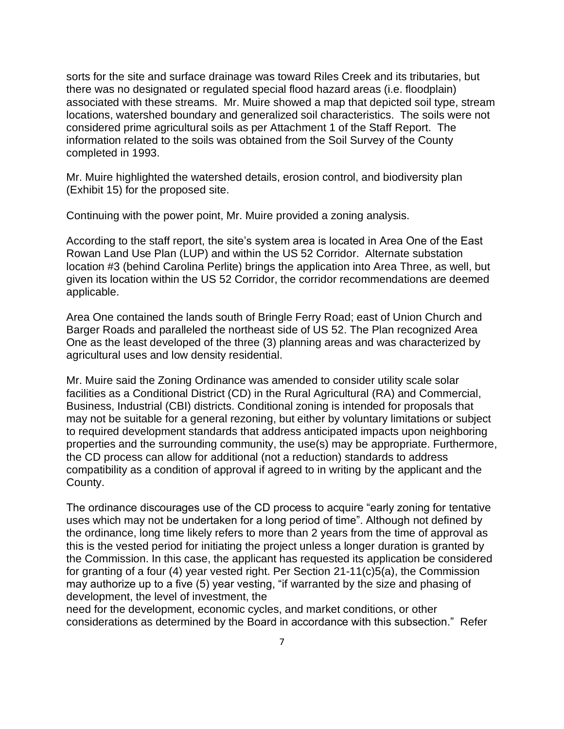sorts for the site and surface drainage was toward Riles Creek and its tributaries, but there was no designated or regulated special flood hazard areas (i.e. floodplain) associated with these streams. Mr. Muire showed a map that depicted soil type, stream locations, watershed boundary and generalized soil characteristics. The soils were not considered prime agricultural soils as per Attachment 1 of the Staff Report. The information related to the soils was obtained from the Soil Survey of the County completed in 1993.

Mr. Muire highlighted the watershed details, erosion control, and biodiversity plan (Exhibit 15) for the proposed site.

Continuing with the power point, Mr. Muire provided a zoning analysis.

According to the staff report, the site's system area is located in Area One of the East Rowan Land Use Plan (LUP) and within the US 52 Corridor. Alternate substation location #3 (behind Carolina Perlite) brings the application into Area Three, as well, but given its location within the US 52 Corridor, the corridor recommendations are deemed applicable.

Area One contained the lands south of Bringle Ferry Road; east of Union Church and Barger Roads and paralleled the northeast side of US 52. The Plan recognized Area One as the least developed of the three (3) planning areas and was characterized by agricultural uses and low density residential.

Mr. Muire said the Zoning Ordinance was amended to consider utility scale solar facilities as a Conditional District (CD) in the Rural Agricultural (RA) and Commercial, Business, Industrial (CBI) districts. Conditional zoning is intended for proposals that may not be suitable for a general rezoning, but either by voluntary limitations or subject to required development standards that address anticipated impacts upon neighboring properties and the surrounding community, the use(s) may be appropriate. Furthermore, the CD process can allow for additional (not a reduction) standards to address compatibility as a condition of approval if agreed to in writing by the applicant and the County.

The ordinance discourages use of the CD process to acquire "early zoning for tentative uses which may not be undertaken for a long period of time". Although not defined by the ordinance, long time likely refers to more than 2 years from the time of approval as this is the vested period for initiating the project unless a longer duration is granted by the Commission. In this case, the applicant has requested its application be considered for granting of a four (4) year vested right. Per Section 21-11(c)5(a), the Commission may authorize up to a five (5) year vesting, "if warranted by the size and phasing of development, the level of investment, the

need for the development, economic cycles, and market conditions, or other considerations as determined by the Board in accordance with this subsection." Refer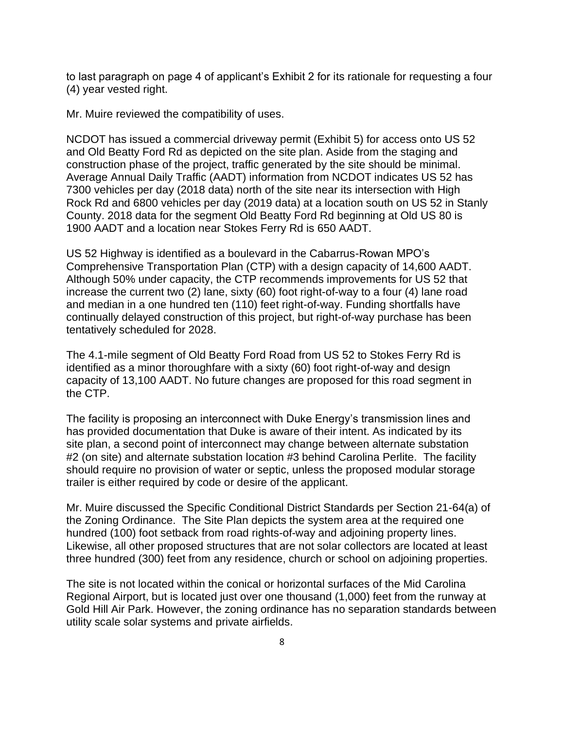to last paragraph on page 4 of applicant's Exhibit 2 for its rationale for requesting a four (4) year vested right.

Mr. Muire reviewed the compatibility of uses.

NCDOT has issued a commercial driveway permit (Exhibit 5) for access onto US 52 and Old Beatty Ford Rd as depicted on the site plan. Aside from the staging and construction phase of the project, traffic generated by the site should be minimal. Average Annual Daily Traffic (AADT) information from NCDOT indicates US 52 has 7300 vehicles per day (2018 data) north of the site near its intersection with High Rock Rd and 6800 vehicles per day (2019 data) at a location south on US 52 in Stanly County. 2018 data for the segment Old Beatty Ford Rd beginning at Old US 80 is 1900 AADT and a location near Stokes Ferry Rd is 650 AADT.

US 52 Highway is identified as a boulevard in the Cabarrus-Rowan MPO's Comprehensive Transportation Plan (CTP) with a design capacity of 14,600 AADT. Although 50% under capacity, the CTP recommends improvements for US 52 that increase the current two (2) lane, sixty (60) foot right-of-way to a four (4) lane road and median in a one hundred ten (110) feet right-of-way. Funding shortfalls have continually delayed construction of this project, but right-of-way purchase has been tentatively scheduled for 2028.

The 4.1-mile segment of Old Beatty Ford Road from US 52 to Stokes Ferry Rd is identified as a minor thoroughfare with a sixty (60) foot right-of-way and design capacity of 13,100 AADT. No future changes are proposed for this road segment in the CTP.

The facility is proposing an interconnect with Duke Energy's transmission lines and has provided documentation that Duke is aware of their intent. As indicated by its site plan, a second point of interconnect may change between alternate substation #2 (on site) and alternate substation location #3 behind Carolina Perlite. The facility should require no provision of water or septic, unless the proposed modular storage trailer is either required by code or desire of the applicant.

Mr. Muire discussed the Specific Conditional District Standards per Section 21-64(a) of the Zoning Ordinance. The Site Plan depicts the system area at the required one hundred (100) foot setback from road rights-of-way and adjoining property lines. Likewise, all other proposed structures that are not solar collectors are located at least three hundred (300) feet from any residence, church or school on adjoining properties.

The site is not located within the conical or horizontal surfaces of the Mid Carolina Regional Airport, but is located just over one thousand (1,000) feet from the runway at Gold Hill Air Park. However, the zoning ordinance has no separation standards between utility scale solar systems and private airfields.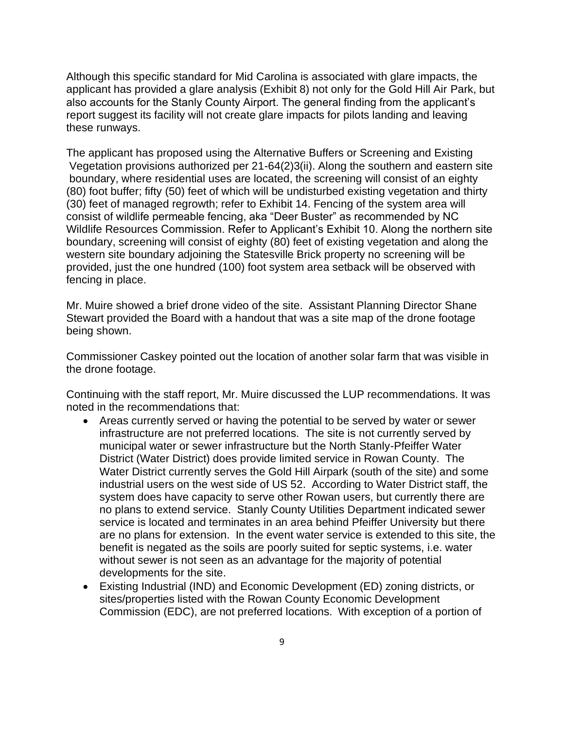Although this specific standard for Mid Carolina is associated with glare impacts, the applicant has provided a glare analysis (Exhibit 8) not only for the Gold Hill Air Park, but also accounts for the Stanly County Airport. The general finding from the applicant's report suggest its facility will not create glare impacts for pilots landing and leaving these runways.

The applicant has proposed using the Alternative Buffers or Screening and Existing Vegetation provisions authorized per 21-64(2)3(ii). Along the southern and eastern site boundary, where residential uses are located, the screening will consist of an eighty (80) foot buffer; fifty (50) feet of which will be undisturbed existing vegetation and thirty (30) feet of managed regrowth; refer to Exhibit 14. Fencing of the system area will consist of wildlife permeable fencing, aka "Deer Buster" as recommended by NC Wildlife Resources Commission. Refer to Applicant's Exhibit 10. Along the northern site boundary, screening will consist of eighty (80) feet of existing vegetation and along the western site boundary adjoining the Statesville Brick property no screening will be provided, just the one hundred (100) foot system area setback will be observed with fencing in place.

Mr. Muire showed a brief drone video of the site. Assistant Planning Director Shane Stewart provided the Board with a handout that was a site map of the drone footage being shown.

Commissioner Caskey pointed out the location of another solar farm that was visible in the drone footage.

Continuing with the staff report, Mr. Muire discussed the LUP recommendations. It was noted in the recommendations that:

- Areas currently served or having the potential to be served by water or sewer infrastructure are not preferred locations. The site is not currently served by municipal water or sewer infrastructure but the North Stanly-Pfeiffer Water District (Water District) does provide limited service in Rowan County. The Water District currently serves the Gold Hill Airpark (south of the site) and some industrial users on the west side of US 52. According to Water District staff, the system does have capacity to serve other Rowan users, but currently there are no plans to extend service. Stanly County Utilities Department indicated sewer service is located and terminates in an area behind Pfeiffer University but there are no plans for extension. In the event water service is extended to this site, the benefit is negated as the soils are poorly suited for septic systems, i.e. water without sewer is not seen as an advantage for the majority of potential developments for the site.
- Existing Industrial (IND) and Economic Development (ED) zoning districts, or sites/properties listed with the Rowan County Economic Development Commission (EDC), are not preferred locations. With exception of a portion of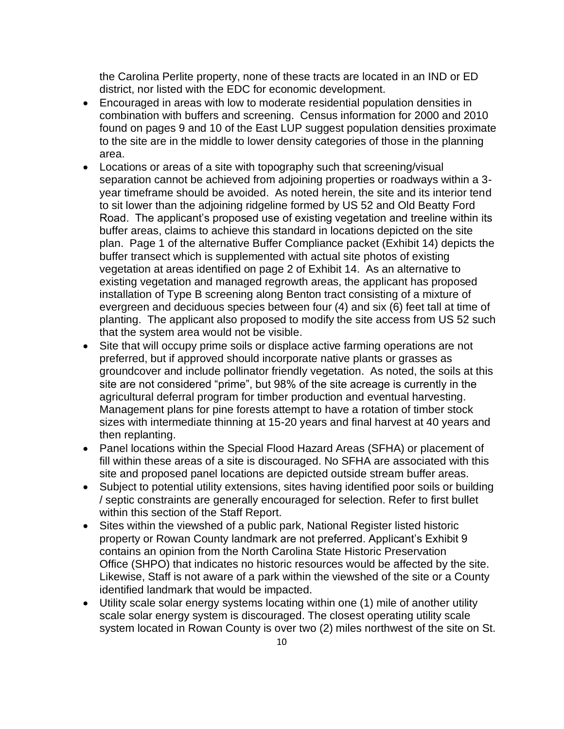the Carolina Perlite property, none of these tracts are located in an IND or ED district, nor listed with the EDC for economic development.

- Encouraged in areas with low to moderate residential population densities in combination with buffers and screening. Census information for 2000 and 2010 found on pages 9 and 10 of the East LUP suggest population densities proximate to the site are in the middle to lower density categories of those in the planning area.
- Locations or areas of a site with topography such that screening/visual separation cannot be achieved from adjoining properties or roadways within a 3 year timeframe should be avoided. As noted herein, the site and its interior tend to sit lower than the adjoining ridgeline formed by US 52 and Old Beatty Ford Road. The applicant's proposed use of existing vegetation and treeline within its buffer areas, claims to achieve this standard in locations depicted on the site plan. Page 1 of the alternative Buffer Compliance packet (Exhibit 14) depicts the buffer transect which is supplemented with actual site photos of existing vegetation at areas identified on page 2 of Exhibit 14. As an alternative to existing vegetation and managed regrowth areas, the applicant has proposed installation of Type B screening along Benton tract consisting of a mixture of evergreen and deciduous species between four (4) and six (6) feet tall at time of planting. The applicant also proposed to modify the site access from US 52 such that the system area would not be visible.
- Site that will occupy prime soils or displace active farming operations are not preferred, but if approved should incorporate native plants or grasses as groundcover and include pollinator friendly vegetation. As noted, the soils at this site are not considered "prime", but 98% of the site acreage is currently in the agricultural deferral program for timber production and eventual harvesting. Management plans for pine forests attempt to have a rotation of timber stock sizes with intermediate thinning at 15-20 years and final harvest at 40 years and then replanting.
- Panel locations within the Special Flood Hazard Areas (SFHA) or placement of fill within these areas of a site is discouraged. No SFHA are associated with this site and proposed panel locations are depicted outside stream buffer areas.
- Subject to potential utility extensions, sites having identified poor soils or building / septic constraints are generally encouraged for selection. Refer to first bullet within this section of the Staff Report.
- Sites within the viewshed of a public park, National Register listed historic property or Rowan County landmark are not preferred. Applicant's Exhibit 9 contains an opinion from the North Carolina State Historic Preservation Office (SHPO) that indicates no historic resources would be affected by the site. Likewise, Staff is not aware of a park within the viewshed of the site or a County identified landmark that would be impacted.
- Utility scale solar energy systems locating within one (1) mile of another utility scale solar energy system is discouraged. The closest operating utility scale system located in Rowan County is over two (2) miles northwest of the site on St.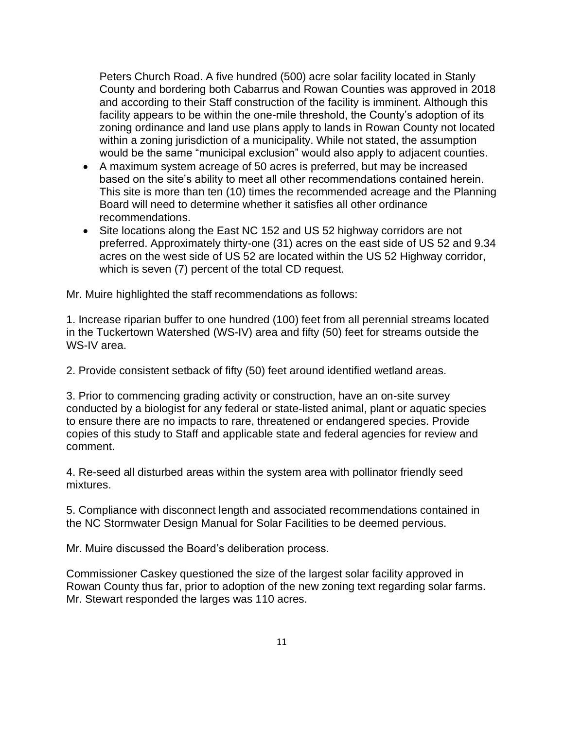Peters Church Road. A five hundred (500) acre solar facility located in Stanly County and bordering both Cabarrus and Rowan Counties was approved in 2018 and according to their Staff construction of the facility is imminent. Although this facility appears to be within the one-mile threshold, the County's adoption of its zoning ordinance and land use plans apply to lands in Rowan County not located within a zoning jurisdiction of a municipality. While not stated, the assumption would be the same "municipal exclusion" would also apply to adjacent counties.

- A maximum system acreage of 50 acres is preferred, but may be increased based on the site's ability to meet all other recommendations contained herein. This site is more than ten (10) times the recommended acreage and the Planning Board will need to determine whether it satisfies all other ordinance recommendations.
- Site locations along the East NC 152 and US 52 highway corridors are not preferred. Approximately thirty-one (31) acres on the east side of US 52 and 9.34 acres on the west side of US 52 are located within the US 52 Highway corridor, which is seven (7) percent of the total CD request.

Mr. Muire highlighted the staff recommendations as follows:

1. Increase riparian buffer to one hundred (100) feet from all perennial streams located in the Tuckertown Watershed (WS-IV) area and fifty (50) feet for streams outside the WS-IV area.

2. Provide consistent setback of fifty (50) feet around identified wetland areas.

3. Prior to commencing grading activity or construction, have an on-site survey conducted by a biologist for any federal or state-listed animal, plant or aquatic species to ensure there are no impacts to rare, threatened or endangered species. Provide copies of this study to Staff and applicable state and federal agencies for review and comment.

4. Re-seed all disturbed areas within the system area with pollinator friendly seed mixtures.

5. Compliance with disconnect length and associated recommendations contained in the NC Stormwater Design Manual for Solar Facilities to be deemed pervious.

Mr. Muire discussed the Board's deliberation process.

Commissioner Caskey questioned the size of the largest solar facility approved in Rowan County thus far, prior to adoption of the new zoning text regarding solar farms. Mr. Stewart responded the larges was 110 acres.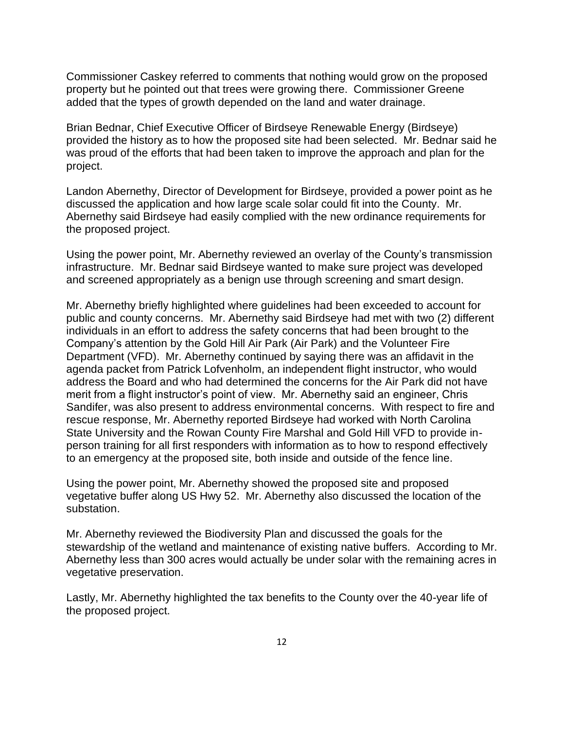Commissioner Caskey referred to comments that nothing would grow on the proposed property but he pointed out that trees were growing there. Commissioner Greene added that the types of growth depended on the land and water drainage.

Brian Bednar, Chief Executive Officer of Birdseye Renewable Energy (Birdseye) provided the history as to how the proposed site had been selected. Mr. Bednar said he was proud of the efforts that had been taken to improve the approach and plan for the project.

Landon Abernethy, Director of Development for Birdseye, provided a power point as he discussed the application and how large scale solar could fit into the County. Mr. Abernethy said Birdseye had easily complied with the new ordinance requirements for the proposed project.

Using the power point, Mr. Abernethy reviewed an overlay of the County's transmission infrastructure. Mr. Bednar said Birdseye wanted to make sure project was developed and screened appropriately as a benign use through screening and smart design.

Mr. Abernethy briefly highlighted where guidelines had been exceeded to account for public and county concerns. Mr. Abernethy said Birdseye had met with two (2) different individuals in an effort to address the safety concerns that had been brought to the Company's attention by the Gold Hill Air Park (Air Park) and the Volunteer Fire Department (VFD). Mr. Abernethy continued by saying there was an affidavit in the agenda packet from Patrick Lofvenholm, an independent flight instructor, who would address the Board and who had determined the concerns for the Air Park did not have merit from a flight instructor's point of view. Mr. Abernethy said an engineer, Chris Sandifer, was also present to address environmental concerns. With respect to fire and rescue response, Mr. Abernethy reported Birdseye had worked with North Carolina State University and the Rowan County Fire Marshal and Gold Hill VFD to provide inperson training for all first responders with information as to how to respond effectively to an emergency at the proposed site, both inside and outside of the fence line.

Using the power point, Mr. Abernethy showed the proposed site and proposed vegetative buffer along US Hwy 52. Mr. Abernethy also discussed the location of the substation.

Mr. Abernethy reviewed the Biodiversity Plan and discussed the goals for the stewardship of the wetland and maintenance of existing native buffers. According to Mr. Abernethy less than 300 acres would actually be under solar with the remaining acres in vegetative preservation.

Lastly, Mr. Abernethy highlighted the tax benefits to the County over the 40-year life of the proposed project.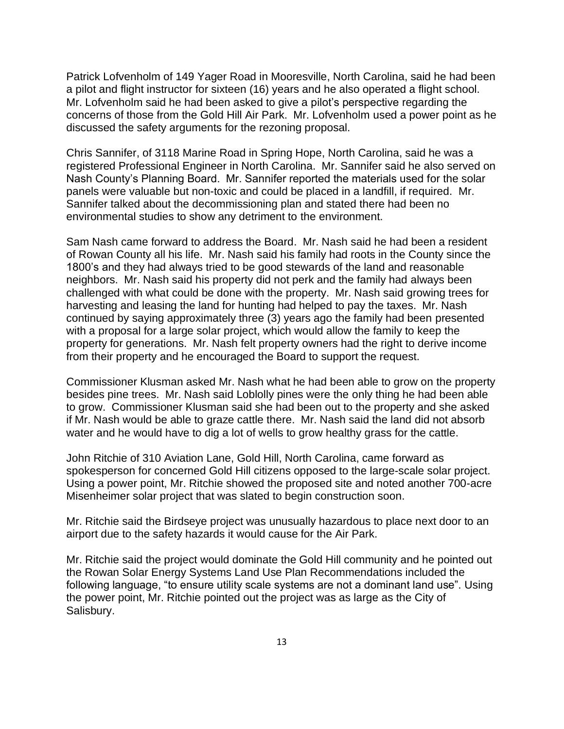Patrick Lofvenholm of 149 Yager Road in Mooresville, North Carolina, said he had been a pilot and flight instructor for sixteen (16) years and he also operated a flight school. Mr. Lofvenholm said he had been asked to give a pilot's perspective regarding the concerns of those from the Gold Hill Air Park. Mr. Lofvenholm used a power point as he discussed the safety arguments for the rezoning proposal.

Chris Sannifer, of 3118 Marine Road in Spring Hope, North Carolina, said he was a registered Professional Engineer in North Carolina. Mr. Sannifer said he also served on Nash County's Planning Board. Mr. Sannifer reported the materials used for the solar panels were valuable but non-toxic and could be placed in a landfill, if required. Mr. Sannifer talked about the decommissioning plan and stated there had been no environmental studies to show any detriment to the environment.

Sam Nash came forward to address the Board. Mr. Nash said he had been a resident of Rowan County all his life. Mr. Nash said his family had roots in the County since the 1800's and they had always tried to be good stewards of the land and reasonable neighbors. Mr. Nash said his property did not perk and the family had always been challenged with what could be done with the property. Mr. Nash said growing trees for harvesting and leasing the land for hunting had helped to pay the taxes. Mr. Nash continued by saying approximately three (3) years ago the family had been presented with a proposal for a large solar project, which would allow the family to keep the property for generations. Mr. Nash felt property owners had the right to derive income from their property and he encouraged the Board to support the request.

Commissioner Klusman asked Mr. Nash what he had been able to grow on the property besides pine trees. Mr. Nash said Loblolly pines were the only thing he had been able to grow. Commissioner Klusman said she had been out to the property and she asked if Mr. Nash would be able to graze cattle there. Mr. Nash said the land did not absorb water and he would have to dig a lot of wells to grow healthy grass for the cattle.

John Ritchie of 310 Aviation Lane, Gold Hill, North Carolina, came forward as spokesperson for concerned Gold Hill citizens opposed to the large-scale solar project. Using a power point, Mr. Ritchie showed the proposed site and noted another 700-acre Misenheimer solar project that was slated to begin construction soon.

Mr. Ritchie said the Birdseye project was unusually hazardous to place next door to an airport due to the safety hazards it would cause for the Air Park.

Mr. Ritchie said the project would dominate the Gold Hill community and he pointed out the Rowan Solar Energy Systems Land Use Plan Recommendations included the following language, "to ensure utility scale systems are not a dominant land use". Using the power point, Mr. Ritchie pointed out the project was as large as the City of Salisbury.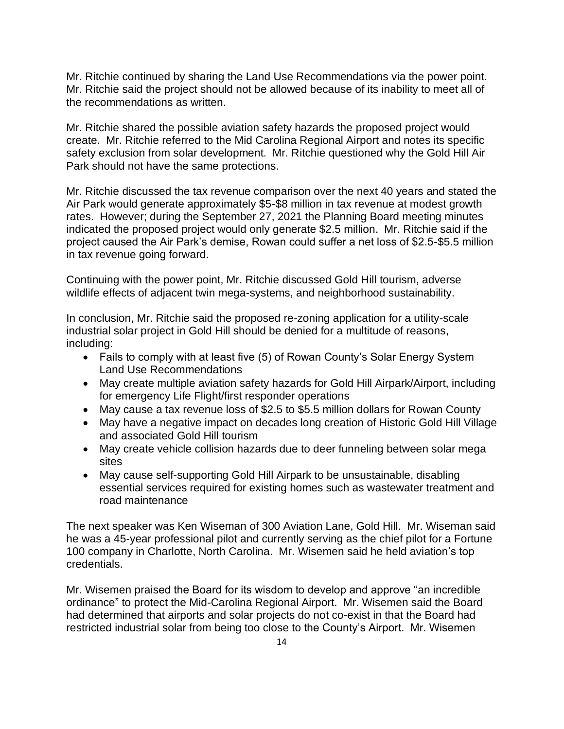Mr. Ritchie continued by sharing the Land Use Recommendations via the power point. Mr. Ritchie said the project should not be allowed because of its inability to meet all of the recommendations as written.

Mr. Ritchie shared the possible aviation safety hazards the proposed project would create. Mr. Ritchie referred to the Mid Carolina Regional Airport and notes its specific safety exclusion from solar development. Mr. Ritchie questioned why the Gold Hill Air Park should not have the same protections.

Mr. Ritchie discussed the tax revenue comparison over the next 40 years and stated the Air Park would generate approximately \$5-\$8 million in tax revenue at modest growth rates. However; during the September 27, 2021 the Planning Board meeting minutes indicated the proposed project would only generate \$2.5 million. Mr. Ritchie said if the project caused the Air Park's demise, Rowan could suffer a net loss of \$2.5-\$5.5 million in tax revenue going forward.

Continuing with the power point, Mr. Ritchie discussed Gold Hill tourism, adverse wildlife effects of adjacent twin mega-systems, and neighborhood sustainability.

In conclusion, Mr. Ritchie said the proposed re-zoning application for a utility-scale industrial solar project in Gold Hill should be denied for a multitude of reasons, including:

- Fails to comply with at least five (5) of Rowan County's Solar Energy System Land Use Recommendations
- May create multiple aviation safety hazards for Gold Hill Airpark/Airport, including for emergency Life Flight/first responder operations
- May cause a tax revenue loss of \$2.5 to \$5.5 million dollars for Rowan County
- May have a negative impact on decades long creation of Historic Gold Hill Village and associated Gold Hill tourism
- May create vehicle collision hazards due to deer funneling between solar mega sites
- May cause self-supporting Gold Hill Airpark to be unsustainable, disabling essential services required for existing homes such as wastewater treatment and road maintenance

The next speaker was Ken Wiseman of 300 Aviation Lane, Gold Hill. Mr. Wiseman said he was a 45-year professional pilot and currently serving as the chief pilot for a Fortune 100 company in Charlotte, North Carolina. Mr. Wisemen said he held aviation's top credentials.

Mr. Wisemen praised the Board for its wisdom to develop and approve "an incredible ordinance" to protect the Mid-Carolina Regional Airport. Mr. Wisemen said the Board had determined that airports and solar projects do not co-exist in that the Board had restricted industrial solar from being too close to the County's Airport. Mr. Wisemen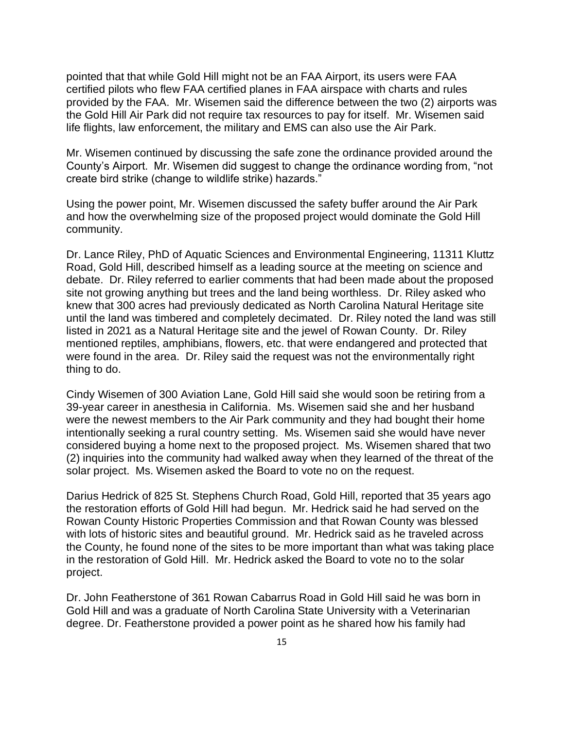pointed that that while Gold Hill might not be an FAA Airport, its users were FAA certified pilots who flew FAA certified planes in FAA airspace with charts and rules provided by the FAA. Mr. Wisemen said the difference between the two (2) airports was the Gold Hill Air Park did not require tax resources to pay for itself. Mr. Wisemen said life flights, law enforcement, the military and EMS can also use the Air Park.

Mr. Wisemen continued by discussing the safe zone the ordinance provided around the County's Airport. Mr. Wisemen did suggest to change the ordinance wording from, "not create bird strike (change to wildlife strike) hazards."

Using the power point, Mr. Wisemen discussed the safety buffer around the Air Park and how the overwhelming size of the proposed project would dominate the Gold Hill community.

Dr. Lance Riley, PhD of Aquatic Sciences and Environmental Engineering, 11311 Kluttz Road, Gold Hill, described himself as a leading source at the meeting on science and debate. Dr. Riley referred to earlier comments that had been made about the proposed site not growing anything but trees and the land being worthless. Dr. Riley asked who knew that 300 acres had previously dedicated as North Carolina Natural Heritage site until the land was timbered and completely decimated. Dr. Riley noted the land was still listed in 2021 as a Natural Heritage site and the jewel of Rowan County. Dr. Riley mentioned reptiles, amphibians, flowers, etc. that were endangered and protected that were found in the area. Dr. Riley said the request was not the environmentally right thing to do.

Cindy Wisemen of 300 Aviation Lane, Gold Hill said she would soon be retiring from a 39-year career in anesthesia in California. Ms. Wisemen said she and her husband were the newest members to the Air Park community and they had bought their home intentionally seeking a rural country setting. Ms. Wisemen said she would have never considered buying a home next to the proposed project. Ms. Wisemen shared that two (2) inquiries into the community had walked away when they learned of the threat of the solar project. Ms. Wisemen asked the Board to vote no on the request.

Darius Hedrick of 825 St. Stephens Church Road, Gold Hill, reported that 35 years ago the restoration efforts of Gold Hill had begun. Mr. Hedrick said he had served on the Rowan County Historic Properties Commission and that Rowan County was blessed with lots of historic sites and beautiful ground. Mr. Hedrick said as he traveled across the County, he found none of the sites to be more important than what was taking place in the restoration of Gold Hill. Mr. Hedrick asked the Board to vote no to the solar project.

Dr. John Featherstone of 361 Rowan Cabarrus Road in Gold Hill said he was born in Gold Hill and was a graduate of North Carolina State University with a Veterinarian degree. Dr. Featherstone provided a power point as he shared how his family had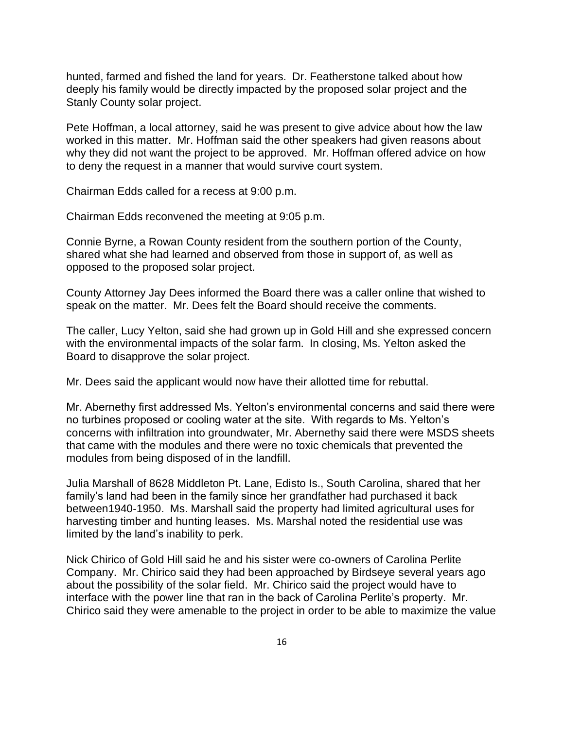hunted, farmed and fished the land for years. Dr. Featherstone talked about how deeply his family would be directly impacted by the proposed solar project and the Stanly County solar project.

Pete Hoffman, a local attorney, said he was present to give advice about how the law worked in this matter. Mr. Hoffman said the other speakers had given reasons about why they did not want the project to be approved. Mr. Hoffman offered advice on how to deny the request in a manner that would survive court system.

Chairman Edds called for a recess at 9:00 p.m.

Chairman Edds reconvened the meeting at 9:05 p.m.

Connie Byrne, a Rowan County resident from the southern portion of the County, shared what she had learned and observed from those in support of, as well as opposed to the proposed solar project.

County Attorney Jay Dees informed the Board there was a caller online that wished to speak on the matter. Mr. Dees felt the Board should receive the comments.

The caller, Lucy Yelton, said she had grown up in Gold Hill and she expressed concern with the environmental impacts of the solar farm. In closing, Ms. Yelton asked the Board to disapprove the solar project.

Mr. Dees said the applicant would now have their allotted time for rebuttal.

Mr. Abernethy first addressed Ms. Yelton's environmental concerns and said there were no turbines proposed or cooling water at the site. With regards to Ms. Yelton's concerns with infiltration into groundwater, Mr. Abernethy said there were MSDS sheets that came with the modules and there were no toxic chemicals that prevented the modules from being disposed of in the landfill.

Julia Marshall of 8628 Middleton Pt. Lane, Edisto Is., South Carolina, shared that her family's land had been in the family since her grandfather had purchased it back between1940-1950. Ms. Marshall said the property had limited agricultural uses for harvesting timber and hunting leases. Ms. Marshal noted the residential use was limited by the land's inability to perk.

Nick Chirico of Gold Hill said he and his sister were co-owners of Carolina Perlite Company. Mr. Chirico said they had been approached by Birdseye several years ago about the possibility of the solar field. Mr. Chirico said the project would have to interface with the power line that ran in the back of Carolina Perlite's property. Mr. Chirico said they were amenable to the project in order to be able to maximize the value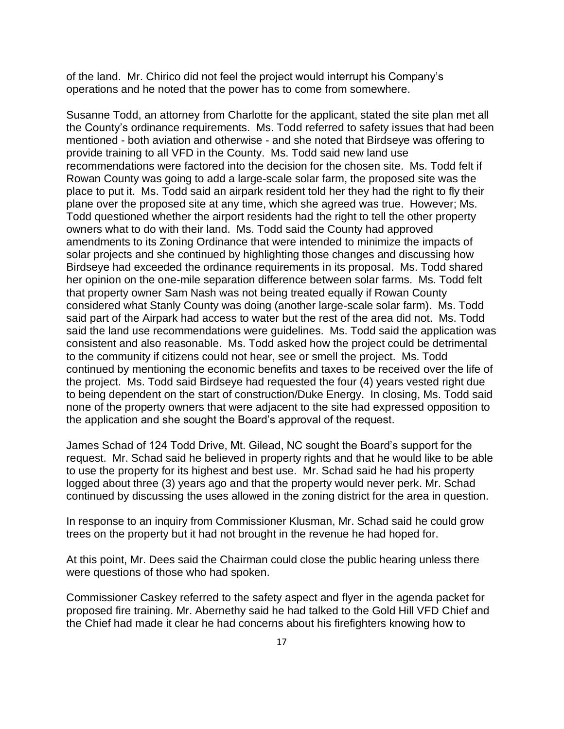of the land. Mr. Chirico did not feel the project would interrupt his Company's operations and he noted that the power has to come from somewhere.

Susanne Todd, an attorney from Charlotte for the applicant, stated the site plan met all the County's ordinance requirements. Ms. Todd referred to safety issues that had been mentioned - both aviation and otherwise - and she noted that Birdseye was offering to provide training to all VFD in the County. Ms. Todd said new land use recommendations were factored into the decision for the chosen site. Ms. Todd felt if Rowan County was going to add a large-scale solar farm, the proposed site was the place to put it. Ms. Todd said an airpark resident told her they had the right to fly their plane over the proposed site at any time, which she agreed was true. However; Ms. Todd questioned whether the airport residents had the right to tell the other property owners what to do with their land. Ms. Todd said the County had approved amendments to its Zoning Ordinance that were intended to minimize the impacts of solar projects and she continued by highlighting those changes and discussing how Birdseye had exceeded the ordinance requirements in its proposal. Ms. Todd shared her opinion on the one-mile separation difference between solar farms. Ms. Todd felt that property owner Sam Nash was not being treated equally if Rowan County considered what Stanly County was doing (another large-scale solar farm). Ms. Todd said part of the Airpark had access to water but the rest of the area did not. Ms. Todd said the land use recommendations were guidelines. Ms. Todd said the application was consistent and also reasonable. Ms. Todd asked how the project could be detrimental to the community if citizens could not hear, see or smell the project. Ms. Todd continued by mentioning the economic benefits and taxes to be received over the life of the project. Ms. Todd said Birdseye had requested the four (4) years vested right due to being dependent on the start of construction/Duke Energy. In closing, Ms. Todd said none of the property owners that were adjacent to the site had expressed opposition to the application and she sought the Board's approval of the request.

James Schad of 124 Todd Drive, Mt. Gilead, NC sought the Board's support for the request. Mr. Schad said he believed in property rights and that he would like to be able to use the property for its highest and best use. Mr. Schad said he had his property logged about three (3) years ago and that the property would never perk. Mr. Schad continued by discussing the uses allowed in the zoning district for the area in question.

In response to an inquiry from Commissioner Klusman, Mr. Schad said he could grow trees on the property but it had not brought in the revenue he had hoped for.

At this point, Mr. Dees said the Chairman could close the public hearing unless there were questions of those who had spoken.

Commissioner Caskey referred to the safety aspect and flyer in the agenda packet for proposed fire training. Mr. Abernethy said he had talked to the Gold Hill VFD Chief and the Chief had made it clear he had concerns about his firefighters knowing how to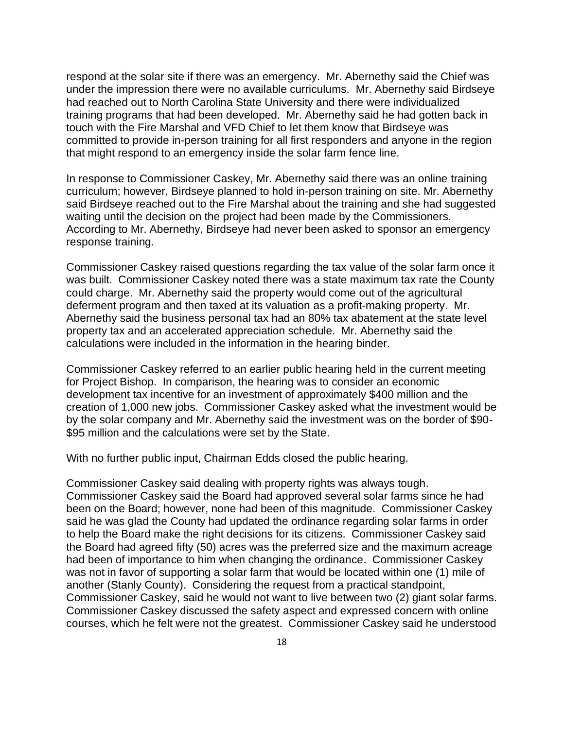respond at the solar site if there was an emergency. Mr. Abernethy said the Chief was under the impression there were no available curriculums. Mr. Abernethy said Birdseye had reached out to North Carolina State University and there were individualized training programs that had been developed. Mr. Abernethy said he had gotten back in touch with the Fire Marshal and VFD Chief to let them know that Birdseye was committed to provide in-person training for all first responders and anyone in the region that might respond to an emergency inside the solar farm fence line.

In response to Commissioner Caskey, Mr. Abernethy said there was an online training curriculum; however, Birdseye planned to hold in-person training on site. Mr. Abernethy said Birdseye reached out to the Fire Marshal about the training and she had suggested waiting until the decision on the project had been made by the Commissioners. According to Mr. Abernethy, Birdseye had never been asked to sponsor an emergency response training.

Commissioner Caskey raised questions regarding the tax value of the solar farm once it was built. Commissioner Caskey noted there was a state maximum tax rate the County could charge. Mr. Abernethy said the property would come out of the agricultural deferment program and then taxed at its valuation as a profit-making property. Mr. Abernethy said the business personal tax had an 80% tax abatement at the state level property tax and an accelerated appreciation schedule. Mr. Abernethy said the calculations were included in the information in the hearing binder.

Commissioner Caskey referred to an earlier public hearing held in the current meeting for Project Bishop. In comparison, the hearing was to consider an economic development tax incentive for an investment of approximately \$400 million and the creation of 1,000 new jobs. Commissioner Caskey asked what the investment would be by the solar company and Mr. Abernethy said the investment was on the border of \$90- \$95 million and the calculations were set by the State.

With no further public input, Chairman Edds closed the public hearing.

Commissioner Caskey said dealing with property rights was always tough. Commissioner Caskey said the Board had approved several solar farms since he had been on the Board; however, none had been of this magnitude. Commissioner Caskey said he was glad the County had updated the ordinance regarding solar farms in order to help the Board make the right decisions for its citizens. Commissioner Caskey said the Board had agreed fifty (50) acres was the preferred size and the maximum acreage had been of importance to him when changing the ordinance. Commissioner Caskey was not in favor of supporting a solar farm that would be located within one (1) mile of another (Stanly County). Considering the request from a practical standpoint, Commissioner Caskey, said he would not want to live between two (2) giant solar farms. Commissioner Caskey discussed the safety aspect and expressed concern with online courses, which he felt were not the greatest. Commissioner Caskey said he understood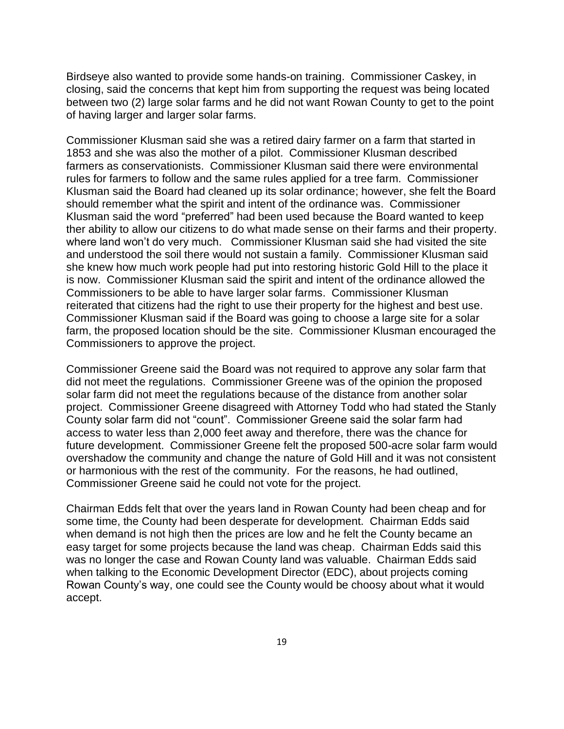Birdseye also wanted to provide some hands-on training. Commissioner Caskey, in closing, said the concerns that kept him from supporting the request was being located between two (2) large solar farms and he did not want Rowan County to get to the point of having larger and larger solar farms.

Commissioner Klusman said she was a retired dairy farmer on a farm that started in 1853 and she was also the mother of a pilot. Commissioner Klusman described farmers as conservationists. Commissioner Klusman said there were environmental rules for farmers to follow and the same rules applied for a tree farm. Commissioner Klusman said the Board had cleaned up its solar ordinance; however, she felt the Board should remember what the spirit and intent of the ordinance was. Commissioner Klusman said the word "preferred" had been used because the Board wanted to keep ther ability to allow our citizens to do what made sense on their farms and their property. where land won't do very much. Commissioner Klusman said she had visited the site and understood the soil there would not sustain a family. Commissioner Klusman said she knew how much work people had put into restoring historic Gold Hill to the place it is now. Commissioner Klusman said the spirit and intent of the ordinance allowed the Commissioners to be able to have larger solar farms. Commissioner Klusman reiterated that citizens had the right to use their property for the highest and best use. Commissioner Klusman said if the Board was going to choose a large site for a solar farm, the proposed location should be the site. Commissioner Klusman encouraged the Commissioners to approve the project.

Commissioner Greene said the Board was not required to approve any solar farm that did not meet the regulations. Commissioner Greene was of the opinion the proposed solar farm did not meet the regulations because of the distance from another solar project. Commissioner Greene disagreed with Attorney Todd who had stated the Stanly County solar farm did not "count". Commissioner Greene said the solar farm had access to water less than 2,000 feet away and therefore, there was the chance for future development. Commissioner Greene felt the proposed 500-acre solar farm would overshadow the community and change the nature of Gold Hill and it was not consistent or harmonious with the rest of the community. For the reasons, he had outlined, Commissioner Greene said he could not vote for the project.

Chairman Edds felt that over the years land in Rowan County had been cheap and for some time, the County had been desperate for development. Chairman Edds said when demand is not high then the prices are low and he felt the County became an easy target for some projects because the land was cheap. Chairman Edds said this was no longer the case and Rowan County land was valuable. Chairman Edds said when talking to the Economic Development Director (EDC), about projects coming Rowan County's way, one could see the County would be choosy about what it would accept.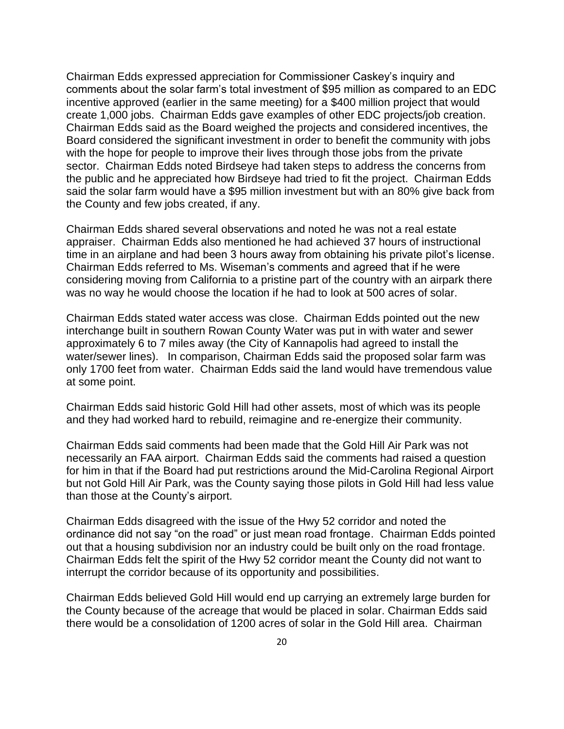Chairman Edds expressed appreciation for Commissioner Caskey's inquiry and comments about the solar farm's total investment of \$95 million as compared to an EDC incentive approved (earlier in the same meeting) for a \$400 million project that would create 1,000 jobs. Chairman Edds gave examples of other EDC projects/job creation. Chairman Edds said as the Board weighed the projects and considered incentives, the Board considered the significant investment in order to benefit the community with jobs with the hope for people to improve their lives through those jobs from the private sector. Chairman Edds noted Birdseye had taken steps to address the concerns from the public and he appreciated how Birdseye had tried to fit the project. Chairman Edds said the solar farm would have a \$95 million investment but with an 80% give back from the County and few jobs created, if any.

Chairman Edds shared several observations and noted he was not a real estate appraiser. Chairman Edds also mentioned he had achieved 37 hours of instructional time in an airplane and had been 3 hours away from obtaining his private pilot's license. Chairman Edds referred to Ms. Wiseman's comments and agreed that if he were considering moving from California to a pristine part of the country with an airpark there was no way he would choose the location if he had to look at 500 acres of solar.

Chairman Edds stated water access was close. Chairman Edds pointed out the new interchange built in southern Rowan County Water was put in with water and sewer approximately 6 to 7 miles away (the City of Kannapolis had agreed to install the water/sewer lines). In comparison, Chairman Edds said the proposed solar farm was only 1700 feet from water. Chairman Edds said the land would have tremendous value at some point.

Chairman Edds said historic Gold Hill had other assets, most of which was its people and they had worked hard to rebuild, reimagine and re-energize their community.

Chairman Edds said comments had been made that the Gold Hill Air Park was not necessarily an FAA airport. Chairman Edds said the comments had raised a question for him in that if the Board had put restrictions around the Mid-Carolina Regional Airport but not Gold Hill Air Park, was the County saying those pilots in Gold Hill had less value than those at the County's airport.

Chairman Edds disagreed with the issue of the Hwy 52 corridor and noted the ordinance did not say "on the road" or just mean road frontage. Chairman Edds pointed out that a housing subdivision nor an industry could be built only on the road frontage. Chairman Edds felt the spirit of the Hwy 52 corridor meant the County did not want to interrupt the corridor because of its opportunity and possibilities.

Chairman Edds believed Gold Hill would end up carrying an extremely large burden for the County because of the acreage that would be placed in solar. Chairman Edds said there would be a consolidation of 1200 acres of solar in the Gold Hill area. Chairman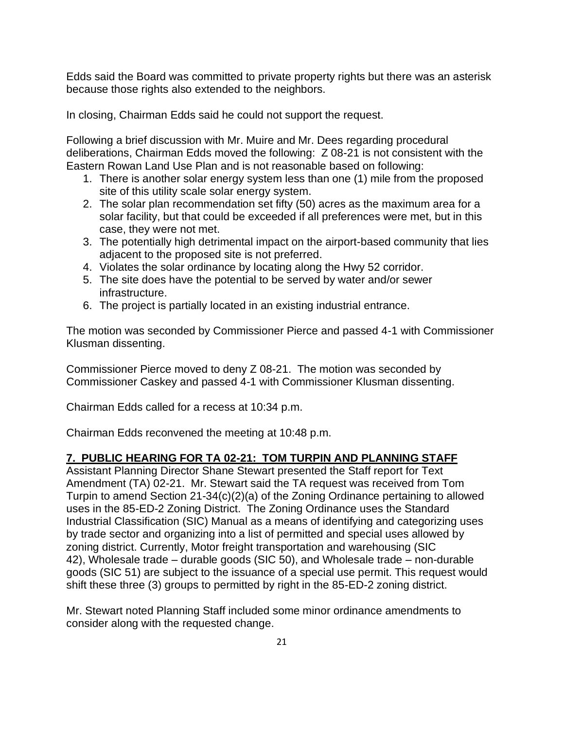Edds said the Board was committed to private property rights but there was an asterisk because those rights also extended to the neighbors.

In closing, Chairman Edds said he could not support the request.

Following a brief discussion with Mr. Muire and Mr. Dees regarding procedural deliberations, Chairman Edds moved the following: Z 08-21 is not consistent with the Eastern Rowan Land Use Plan and is not reasonable based on following:

- 1. There is another solar energy system less than one (1) mile from the proposed site of this utility scale solar energy system.
- 2. The solar plan recommendation set fifty (50) acres as the maximum area for a solar facility, but that could be exceeded if all preferences were met, but in this case, they were not met.
- 3. The potentially high detrimental impact on the airport-based community that lies adjacent to the proposed site is not preferred.
- 4. Violates the solar ordinance by locating along the Hwy 52 corridor.
- 5. The site does have the potential to be served by water and/or sewer infrastructure.
- 6. The project is partially located in an existing industrial entrance.

The motion was seconded by Commissioner Pierce and passed 4-1 with Commissioner Klusman dissenting.

Commissioner Pierce moved to deny Z 08-21. The motion was seconded by Commissioner Caskey and passed 4-1 with Commissioner Klusman dissenting.

Chairman Edds called for a recess at 10:34 p.m.

Chairman Edds reconvened the meeting at 10:48 p.m.

## **7. PUBLIC HEARING FOR TA 02-21: TOM TURPIN AND PLANNING STAFF**

Assistant Planning Director Shane Stewart presented the Staff report for Text Amendment (TA) 02-21. Mr. Stewart said the TA request was received from Tom Turpin to amend Section 21-34(c)(2)(a) of the Zoning Ordinance pertaining to allowed uses in the 85-ED-2 Zoning District. The Zoning Ordinance uses the Standard Industrial Classification (SIC) Manual as a means of identifying and categorizing uses by trade sector and organizing into a list of permitted and special uses allowed by zoning district. Currently, Motor freight transportation and warehousing (SIC 42), Wholesale trade – durable goods (SIC 50), and Wholesale trade – non-durable goods (SIC 51) are subject to the issuance of a special use permit. This request would shift these three (3) groups to permitted by right in the 85-ED-2 zoning district.

Mr. Stewart noted Planning Staff included some minor ordinance amendments to consider along with the requested change.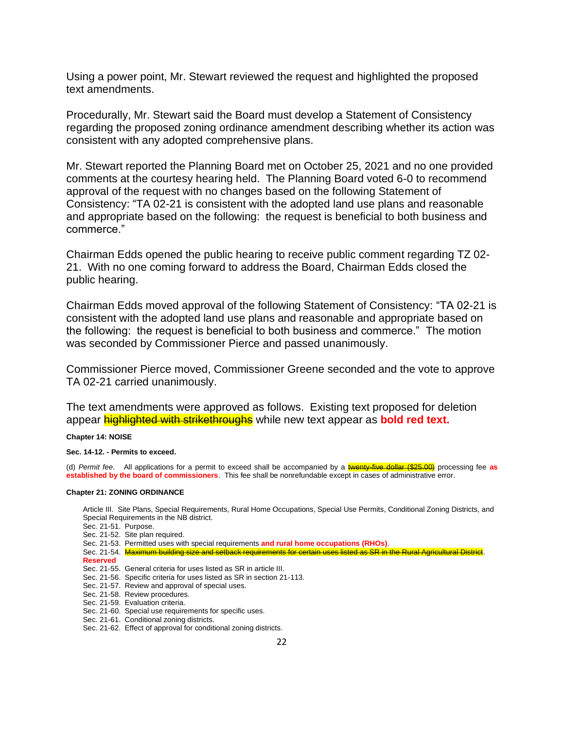Using a power point, Mr. Stewart reviewed the request and highlighted the proposed text amendments.

Procedurally, Mr. Stewart said the Board must develop a Statement of Consistency regarding the proposed zoning ordinance amendment describing whether its action was consistent with any adopted comprehensive plans.

Mr. Stewart reported the Planning Board met on October 25, 2021 and no one provided comments at the courtesy hearing held. The Planning Board voted 6-0 to recommend approval of the request with no changes based on the following Statement of Consistency: "TA 02-21 is consistent with the adopted land use plans and reasonable and appropriate based on the following: the request is beneficial to both business and commerce."

Chairman Edds opened the public hearing to receive public comment regarding TZ 02- 21. With no one coming forward to address the Board, Chairman Edds closed the public hearing.

Chairman Edds moved approval of the following Statement of Consistency: "TA 02-21 is consistent with the adopted land use plans and reasonable and appropriate based on the following: the request is beneficial to both business and commerce." The motion was seconded by Commissioner Pierce and passed unanimously.

Commissioner Pierce moved, Commissioner Greene seconded and the vote to approve TA 02-21 carried unanimously.

The text amendments were approved as follows. Existing text proposed for deletion appear **highlighted with strikethroughs** while new text appear as **bold red text.** 

**Chapter 14: NOISE**

**Sec. 14-12. - Permits to exceed.**

(d) *Permit fee*. All applications for a permit to exceed shall be accompanied by a twenty-five dollar (\$25.00) processing fee **as established by the board of commissioners**. This fee shall be nonrefundable except in cases of administrative error.

### **Chapter 21: ZONING ORDINANCE**

Article III. Site Plans, Special Requirements, Rural Home Occupations, Special Use Permits, Conditional Zoning Districts, and Special Requirements in the NB district.

- Sec. 21-51. Purpose.
- Sec. 21-52. Site plan required.
- Sec. 21-53. Permitted uses with special requirements **and rural home occupations (RHOs)**.
- Sec. 21-54. Maximum building size and setback requirements for certain uses listed as SR in the Rural Agricultural District. **Reserved**
- Sec. 21-55. General criteria for uses listed as SR in article III.
- Sec. 21-56. Specific criteria for uses listed as SR in section 21-113.
- Sec. 21-57. Review and approval of special uses.
- Sec. 21-58. Review procedures.
- Sec. 21-59. Evaluation criteria.
- Sec. 21-60. Special use requirements for specific uses.
- Sec. 21-61. Conditional zoning districts.
- Sec. 21-62. Effect of approval for conditional zoning districts.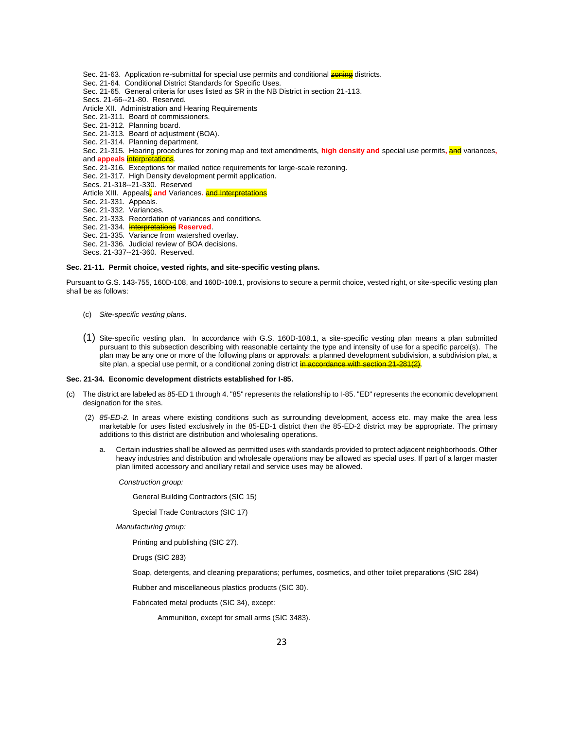Sec. 21-63. Application re-submittal for special use permits and conditional **zoning** districts. Sec. 21-64. Conditional District Standards for Specific Uses. Sec. 21-65. General criteria for uses listed as SR in the NB District in section 21-113. Secs. 21-66--21-80. Reserved. Article XII. Administration and Hearing Requirements Sec. 21-311. Board of commissioners. Sec. 21-312. Planning board. Sec. 21-313. Board of adjustment (BOA). Sec. 21-314. Planning department. Sec. 21-315. Hearing procedures for zoning map and text amendments, **high density and** special use permits**,** and variances**,** and **appeals** interpretations. Sec. 21-316. Exceptions for mailed notice requirements for large-scale rezoning. Sec. 21-317. High Density development permit application. Secs. 21-318--21-330. Reserved Article XIII. Appeals, and Variances. and Interpretations Sec. 21-331. Appeals. Sec. 21-332. Variances. Sec. 21-333. Recordation of variances and conditions. Sec. 21-334. Interpretations **Reserved**. Sec. 21-335. Variance from watershed overlay. Sec. 21-336. Judicial review of BOA decisions. Secs. 21-337--21-360. Reserved.

### **Sec. 21-11. Permit choice, vested rights, and site-specific vesting plans.**

Pursuant to G.S. 143-755, 160D-108, and 160D-108.1, provisions to secure a permit choice, vested right, or site-specific vesting plan shall be as follows:

- (c) *Site-specific vesting plans*.
- (1) Site-specific vesting plan. In accordance with G.S. 160D-108.1, a site-specific vesting plan means a plan submitted pursuant to this subsection describing with reasonable certainty the type and intensity of use for a specific parcel(s). The plan may be any one or more of the following plans or approvals: a planned development subdivision, a subdivision plat, a site plan, a special use permit, or a conditional zoning district in accordance with section 21

### **Sec. 21-34. Economic development districts established for I-85.**

- (c) The district are labeled as 85-ED 1 through 4. "85" represents the relationship to I-85. "ED" represents the economic development designation for the sites.
	- (2) *85-ED-2.* In areas where existing conditions such as surrounding development, access etc. may make the area less marketable for uses listed exclusively in the 85-ED-1 district then the 85-ED-2 district may be appropriate. The primary additions to this district are distribution and wholesaling operations.
		- a. Certain industries shall be allowed as permitted uses with standards provided to protect adjacent neighborhoods. Other heavy industries and distribution and wholesale operations may be allowed as special uses. If part of a larger master plan limited accessory and ancillary retail and service uses may be allowed.

*Construction group:*

General Building Contractors (SIC 15)

Special Trade Contractors (SIC 17)

*Manufacturing group:*

Printing and publishing (SIC 27).

Drugs (SIC 283)

Soap, detergents, and cleaning preparations; perfumes, cosmetics, and other toilet preparations (SIC 284)

Rubber and miscellaneous plastics products (SIC 30).

Fabricated metal products (SIC 34), except:

Ammunition, except for small arms (SIC 3483).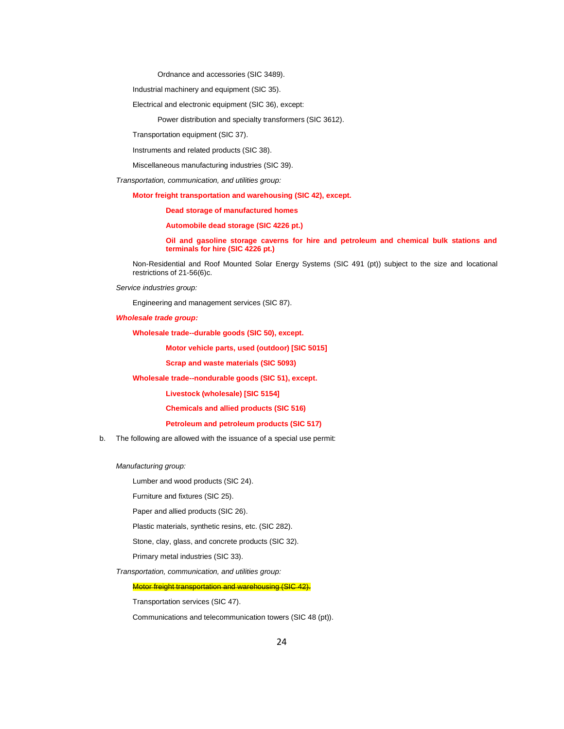Ordnance and accessories (SIC 3489).

Industrial machinery and equipment (SIC 35).

Electrical and electronic equipment (SIC 36), except:

Power distribution and specialty transformers (SIC 3612).

Transportation equipment (SIC 37).

Instruments and related products (SIC 38).

Miscellaneous manufacturing industries (SIC 39).

*Transportation, communication, and utilities group:*

**Motor freight transportation and warehousing (SIC 42), except.**

**Dead storage of manufactured homes**

**Automobile dead storage (SIC 4226 pt.)**

**Oil and gasoline storage caverns for hire and petroleum and chemical bulk stations and terminals for hire (SIC 4226 pt.)**

Non-Residential and Roof Mounted Solar Energy Systems (SIC 491 (pt)) subject to the size and locational restrictions of 21-56(6)c.

*Service industries group:*

Engineering and management services (SIC 87).

*Wholesale trade group:*

**Wholesale trade--durable goods (SIC 50), except.**

**Motor vehicle parts, used (outdoor) [SIC 5015]**

**Scrap and waste materials (SIC 5093)**

**Wholesale trade--nondurable goods (SIC 51), except.**

**Livestock (wholesale) [SIC 5154]**

**Chemicals and allied products (SIC 516)**

**Petroleum and petroleum products (SIC 517)**

b. The following are allowed with the issuance of a special use permit:

*Manufacturing group:*

Lumber and wood products (SIC 24).

Furniture and fixtures (SIC 25).

Paper and allied products (SIC 26).

Plastic materials, synthetic resins, etc. (SIC 282).

Stone, clay, glass, and concrete products (SIC 32).

Primary metal industries (SIC 33).

*Transportation, communication, and utilities group:*

Motor freight transportation and warehousing (SIC 42).

Transportation services (SIC 47).

Communications and telecommunication towers (SIC 48 (pt)).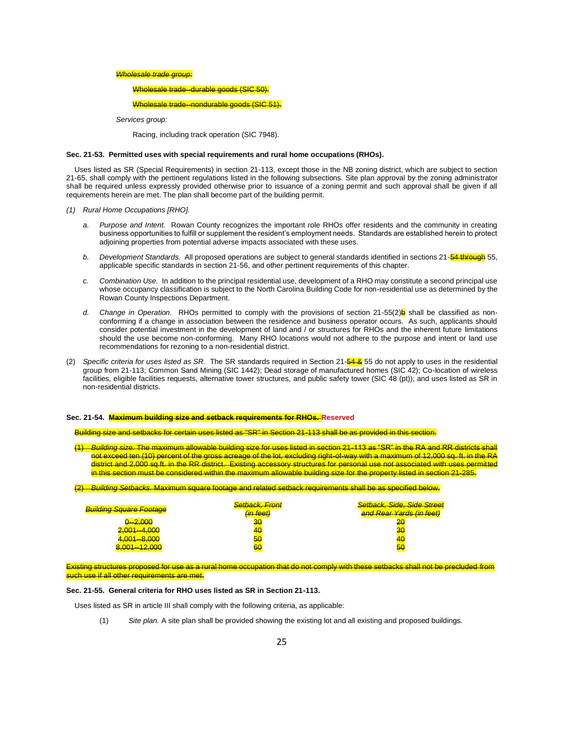#### *Wholesale trade group:*

Wholesale trade--durable goods (SIC 50).

#### Wholesale trade--nondurable goods (SIC 51).

*Services group:*

Racing, including track operation (SIC 7948).

#### **Sec. 21-53. Permitted uses with special requirements and rural home occupations (RHOs).**

Uses listed as SR (Special Requirements) in section 21-113, except those in the NB zoning district, which are subject to section 21-65, shall comply with the pertinent regulations listed in the following subsections. Site plan approval by the zoning administrator shall be required unless expressly provided otherwise prior to issuance of a zoning permit and such approval shall be given if all requirements herein are met. The plan shall become part of the building permit.

*(1) Rural Home Occupations [RHO].*

- *a. Purpose and Intent.* Rowan County recognizes the important role RHOs offer residents and the community in creating business opportunities to fulfill or supplement the resident's employment needs. Standards are established herein to protect adjoining properties from potential adverse impacts associated with these uses.
- *b. Development Standards.* All proposed operations are subject to general standards identified in sections 21-54 through 55, applicable specific standards in section 21-56, and other pertinent requirements of this chapter.
- *c. Combination Use.* In addition to the principal residential use, development of a RHO may constitute a second principal use whose occupancy classification is subject to the North Carolina Building Code for non-residential use as determined by the Rowan County Inspections Department.
- d. Change in Operation. RHOs permitted to comply with the provisions of section 21-55(2)**b** shall be classified as nonconforming if a change in association between the residence and business operator occurs. As such, applicants should consider potential investment in the development of land and / or structures for RHOs and the inherent future limitations should the use become non-conforming. Many RHO locations would not adhere to the purpose and intent or land use recommendations for rezoning to a non-residential district.
- (2) *Specific criteria for uses listed as SR.* The SR standards required in Section 21-54 & 55 do not apply to uses in the residential group from 21-113; Common Sand Mining (SIC 1442); Dead storage of manufactured homes (SIC 42); Co-location of wireless facilities, eligible facilities requests, alternative tower structures, and public safety tower (SIC 48 (pt)); and uses listed as SR in non-residential districts.

#### **Sec. 21-54. Maximum building size and setback requirements for RHOs. Reserved**

Building size and setbacks for certain uses listed as "SR" in Section 21-113 shall be as provided in this section.

<u>ne maximum allowable building size for uses listed in section 21-113 as "SR" in the RA and RR districts </u> not exceed ten (10) percent of the gross acreage of the lot, excluding right-of-way with a maximum of 12,000 sq. ft. in the RA district and 2,000 sq.ft. in the RR district. Existing accessory structures for personal use not associated with uses permitted in this section must be considered within the maximum allowable building size for the property listed in section 21-285.

(2) *Building Setbacks.* Maximum square footage and related setback requirements shall be as specified below. *Building Square Footage Setback, Front (in feet) Setback, Side, Side Street and Rear Yards (in feet)* 0--2,000 30 20 2,001--4,000 40 30

4,001--8,000 50 40

Existing structures proposed for use as a rural home occupation that do not comply with these setbacks shall not be precluded from uch use if all other requirements are met.

### **Sec. 21-55. General criteria for RHO uses listed as SR in Section 21-113.**

8,001--12,000 60 50

Uses listed as SR in article III shall comply with the following criteria, as applicable:

(1) *Site plan.* A site plan shall be provided showing the existing lot and all existing and proposed buildings.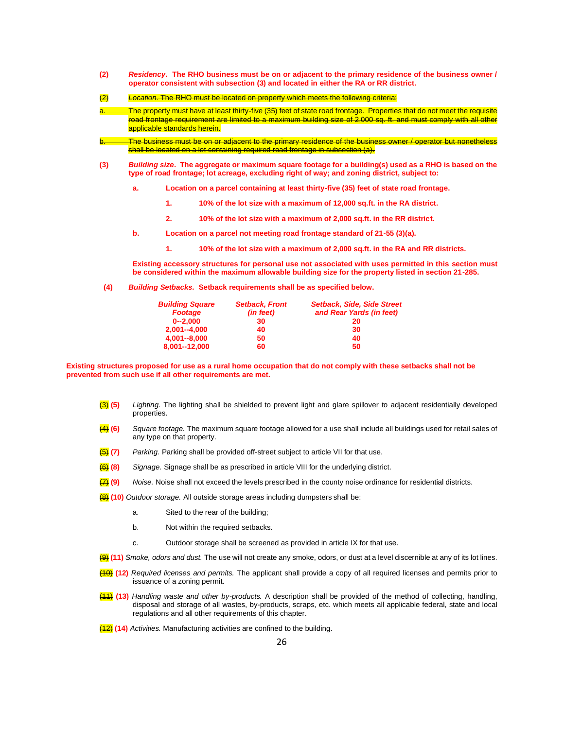- **(2)** *Residency***. The RHO business must be on or adjacent to the primary residence of the business owner / operator consistent with subsection (3) and located in either the RA or RR district.**
- (2) *Location.* The RHO must be located on property which meets the following criteria: The property must have at least thirty-five (35) feet of state road frontage. Properties that do not meet the requisite road frontage requirement are limited to a maximum building size of 2,000 sq. ft. and must comply with all other applicable standards herein. The business must be on or adjacent to the primary residence of the business owner / operator but nonetheless shall be located on a lot containing required road frontage in subsection (a). **(3)** *Building size***. The aggregate or maximum square footage for a building(s) used as a RHO is based on the** 
	- **a. Location on a parcel containing at least thirty-five (35) feet of state road frontage.**

**type of road frontage; lot acreage, excluding right of way; and zoning district, subject to:**

- **1. 10% of the lot size with a maximum of 12,000 sq.ft. in the RA district.**
- **2. 10% of the lot size with a maximum of 2,000 sq.ft. in the RR district.**
- **b. Location on a parcel not meeting road frontage standard of 21-55 (3)(a).**
	- **1. 10% of the lot size with a maximum of 2,000 sq.ft. in the RA and RR districts.**

**Existing accessory structures for personal use not associated with uses permitted in this section must be considered within the maximum allowable building size for the property listed in section 21-285.**

**(4)** *Building Setbacks.* **Setback requirements shall be as specified below.**

| <b>Building Square</b> | <b>Setback, Front</b> | <b>Setback, Side, Side Street</b> |
|------------------------|-----------------------|-----------------------------------|
| <b>Footage</b>         | (in feet)             | and Rear Yards (in feet)          |
| $0 - 2.000$            | 30                    | 20                                |
| $2,001 - 4,000$        | 40                    | 30                                |
| $4.001 - 8.000$        | 50                    | 40                                |
| 8,001--12,000          | 60                    | 50                                |

**Existing structures proposed for use as a rural home occupation that do not comply with these setbacks shall not be prevented from such use if all other requirements are met.**

- (3) **(5)** *Lighting.* The lighting shall be shielded to prevent light and glare spillover to adjacent residentially developed properties.
- (4) **(6)** *Square footage.* The maximum square footage allowed for a use shall include all buildings used for retail sales of any type on that property.
- (5) **(7)** *Parking.* Parking shall be provided off-street subject to article VII for that use.
- (6) **(8)** *Signage.* Signage shall be as prescribed in article VIII for the underlying district.
- (7) **(9)** *Noise.* Noise shall not exceed the levels prescribed in the county noise ordinance for residential districts.
- (8) **(10)** *Outdoor storage.* All outside storage areas including dumpsters shall be:
	- a. Sited to the rear of the building;
	- b. Not within the required setbacks.
	- c. Outdoor storage shall be screened as provided in article IX for that use.
- (9) **(11)** *Smoke, odors and dust.* The use will not create any smoke, odors, or dust at a level discernible at any of its lot lines.
- (10) **(12)** *Required licenses and permits.* The applicant shall provide a copy of all required licenses and permits prior to issuance of a zoning permit.
- (11) **(13)** *Handling waste and other by-products.* A description shall be provided of the method of collecting, handling, disposal and storage of all wastes, by-products, scraps, etc. which meets all applicable federal, state and local regulations and all other requirements of this chapter.
- (12) **(14)** *Activities.* Manufacturing activities are confined to the building.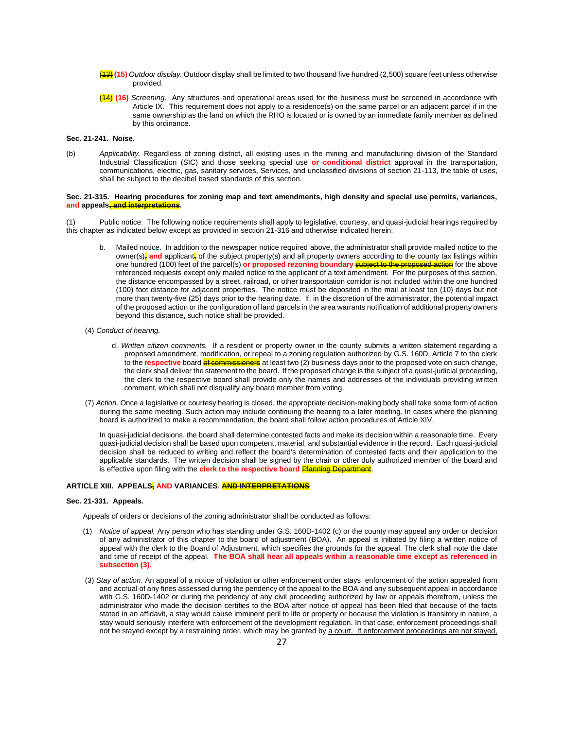- (13) **(15)** *Outdoor display.* Outdoor display shall be limited to two thousand five hundred (2,500) square feet unless otherwise provided.
- (14) **(16)** *Screening*. Any structures and operational areas used for the business must be screened in accordance with Article IX. This requirement does not apply to a residence(s) on the same parcel or an adjacent parcel if in the same ownership as the land on which the RHO is located or is owned by an immediate family member as defined by this ordinance.

### **Sec. 21-241. Noise.**

(b) *Applicability.* Regardless of zoning district, all existing uses in the mining and manufacturing division of the Standard Industrial Classification (SIC) and those seeking special use **or conditional district** approval in the transportation, communications, electric, gas, sanitary services, Services, and unclassified divisions of section 21-113, the table of uses, shall be subject to the decibel based standards of this section.

### **Sec. 21-315. Hearing procedures for zoning map and text amendments, high density and special use permits, variances, and appeals, and interpretations.**

(1) Public notice. The following notice requirements shall apply to legislative, courtesy, and quasi-judicial hearings required by this chapter as indicated below except as provided in section 21-316 and otherwise indicated herein:

- b. Mailed notice. In addition to the newspaper notice required above, the administrator shall provide mailed notice to the owner(s)<sub>i</sub> and applicant, of the subject property(s) and all property owners according to the county tax listings within one hundred (100) feet of the parcel(s) **or proposed rezoning boundary** subject to the proposed action for the above referenced requests except only mailed notice to the applicant of a text amendment. For the purposes of this section, the distance encompassed by a street, railroad, or other transportation corridor is not included within the one hundred (100) foot distance for adjacent properties. The notice must be deposited in the mail at least ten (10) days but not more than twenty-five (25) days prior to the hearing date. If, in the discretion of the administrator, the potential impact of the proposed action or the configuration of land parcels in the area warrants notification of additional property owners beyond this distance, such notice shall be provided.
- (4) *Conduct of hearing.*
	- d. *Written citizen comments.* If a resident or property owner in the county submits a written statement regarding a proposed amendment, modification, or repeal to a zoning regulation authorized by G.S. 160D, Article 7 to the clerk to the **respective** board of commissioners at least two (2) business days prior to the proposed vote on such change, the clerk shall deliver the statement to the board. If the proposed change is the subject of a quasi-judicial proceeding, the clerk to the respective board shall provide only the names and addresses of the individuals providing written comment, which shall not disqualify any board member from voting.
- (7) *Action.* Once a legislative or courtesy hearing is closed, the appropriate decision-making body shall take some form of action during the same meeting. Such action may include continuing the hearing to a later meeting. In cases where the planning board is authorized to make a recommendation, the board shall follow action procedures of Article XIV.

In quasi-judicial decisions, the board shall determine contested facts and make its decision within a reasonable time. Every quasi-judicial decision shall be based upon competent, material, and substantial evidence in the record. Each quasi-judicial decision shall be reduced to writing and reflect the board's determination of contested facts and their application to the applicable standards. The written decision shall be signed by the chair or other duly authorized member of the board and is effective upon filing with the **clerk to the respective board** Planning Department.

### **ARTICLE XIII. APPEALS, AND VARIANCES. AND INTERPRETATIONS**

### **Sec. 21-331. Appeals.**

Appeals of orders or decisions of the zoning administrator shall be conducted as follows:

- (1) *Notice of appeal.* Any person who has standing under G.S. 160D-1402 (c) or the county may appeal any order or decision of any administrator of this chapter to the board of adjustment (BOA). An appeal is initiated by filing a written notice of appeal with the clerk to the Board of Adjustment, which specifies the grounds for the appeal. The clerk shall note the date and time of receipt of the appeal. **The BOA shall hear all appeals within a reasonable time except as referenced in subsection (3).**
- (3) *Stay of action.* An appeal of a notice of violation or other enforcement order stays enforcement of the action appealed from and accrual of any fines assessed during the pendency of the appeal to the BOA and any subsequent appeal in accordance with G.S. 160D-1402 or during the pendency of any civil proceeding authorized by law or appeals therefrom, unless the administrator who made the decision certifies to the BOA after notice of appeal has been filed that because of the facts stated in an affidavit, a stay would cause imminent peril to life or property or because the violation is transitory in nature, a stay would seriously interfere with enforcement of the development regulation. In that case, enforcement proceedings shall not be stayed except by a restraining order, which may be granted by a court. If enforcement proceedings are not stayed,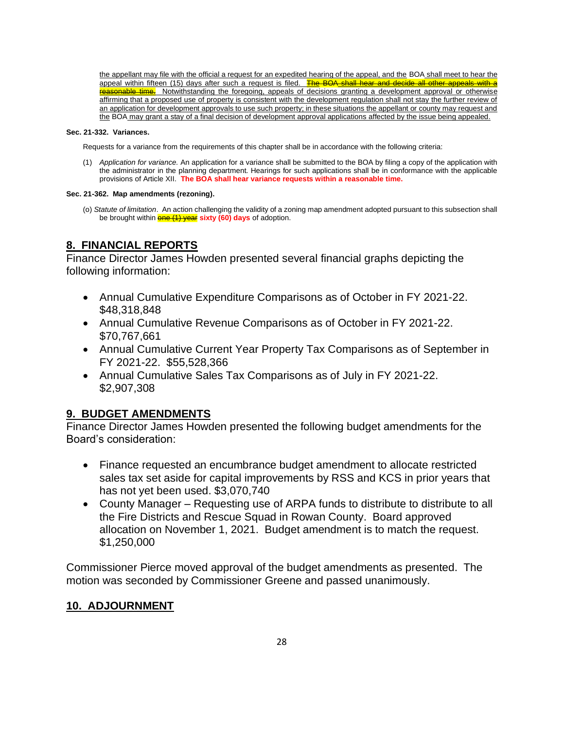the appellant may file with the official a request for an expedited hearing of the appeal, and the BOA shall meet to hear the appeal within fifteen (15) days after such a request is filed. The BOA shall hear and decide all other appeals with a reasonable time. Notwithstanding the foregoing, appeals of decisions granting a development approval or otherwise affirming that a proposed use of property is consistent with the development regulation shall not stay the further review of an application for development approvals to use such property; in these situations the appellant or county may request and the BOA may grant a stay of a final decision of development approval applications affected by the issue being appealed.

### **Sec. 21-332. Variances.**

Requests for a variance from the requirements of this chapter shall be in accordance with the following criteria:

(1) *Application for variance.* An application for a variance shall be submitted to the BOA by filing a copy of the application with the administrator in the planning department. Hearings for such applications shall be in conformance with the applicable provisions of Article XII. **The BOA shall hear variance requests within a reasonable time.**

### **Sec. 21-362. Map amendments (rezoning).**

(o) *Statute of limitation*. An action challenging the validity of a zoning map amendment adopted pursuant to this subsection shall be brought within **one (1) year** sixty (60) days of adoption.

# **8. FINANCIAL REPORTS**

Finance Director James Howden presented several financial graphs depicting the following information:

- Annual Cumulative Expenditure Comparisons as of October in FY 2021-22. \$48,318,848
- Annual Cumulative Revenue Comparisons as of October in FY 2021-22. \$70,767,661
- Annual Cumulative Current Year Property Tax Comparisons as of September in FY 2021-22. \$55,528,366
- Annual Cumulative Sales Tax Comparisons as of July in FY 2021-22. \$2,907,308

## **9. BUDGET AMENDMENTS**

Finance Director James Howden presented the following budget amendments for the Board's consideration:

- Finance requested an encumbrance budget amendment to allocate restricted sales tax set aside for capital improvements by RSS and KCS in prior years that has not yet been used. \$3,070,740
- County Manager Requesting use of ARPA funds to distribute to distribute to all the Fire Districts and Rescue Squad in Rowan County. Board approved allocation on November 1, 2021. Budget amendment is to match the request. \$1,250,000

Commissioner Pierce moved approval of the budget amendments as presented. The motion was seconded by Commissioner Greene and passed unanimously.

### **10. ADJOURNMENT**